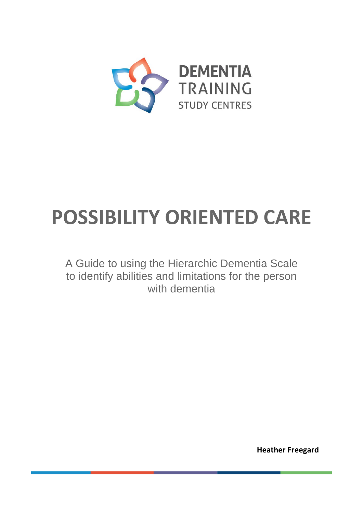

# **POSSIBILITY ORIENTED CARE**

A Guide to using the Hierarchic Dementia Scale to identify abilities and limitations for the person with dementia

**Heather Freegard**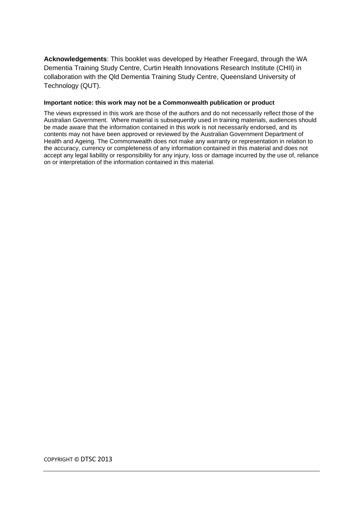**Acknowledgements**: This booklet was developed by Heather Freegard, through the WA Dementia Training Study Centre, Curtin Health Innovations Research Institute (CHII) in collaboration with the Qld Dementia Training Study Centre, Queensland University of Technology (QUT).

#### **Important notice: this work may not be a Commonwealth publication or product**

The views expressed in this work are those of the authors and do not necessarily reflect those of the Australian Government. Where material is subsequently used in training materials, audiences should be made aware that the information contained in this work is not necessarily endorsed, and its contents may not have been approved or reviewed by the Australian Government Department of Health and Ageing. The Commonwealth does not make any warranty or representation in relation to the accuracy, currency or completeness of any information contained in this material and does not accept any legal liability or responsibility for any injury, loss or damage incurred by the use of, reliance on or interpretation of the information contained in this material.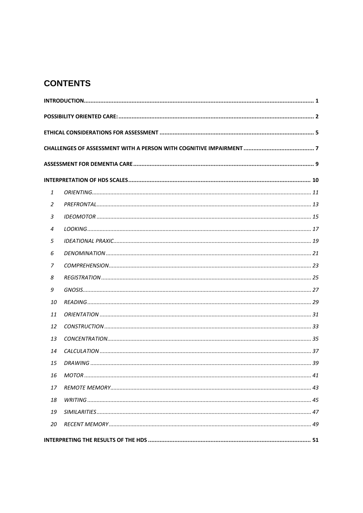## **CONTENTS**

| $\mathbf{1}$   |  |  |  |
|----------------|--|--|--|
| 2              |  |  |  |
| 3              |  |  |  |
| $\overline{4}$ |  |  |  |
| 5              |  |  |  |
| 6              |  |  |  |
| 7              |  |  |  |
| 8              |  |  |  |
| 9              |  |  |  |
| 10             |  |  |  |
| 11             |  |  |  |
| 12             |  |  |  |
| 13             |  |  |  |
| 14             |  |  |  |
| 15             |  |  |  |
| 16             |  |  |  |
| 17             |  |  |  |
| 18             |  |  |  |
| 19             |  |  |  |
| 20             |  |  |  |
|                |  |  |  |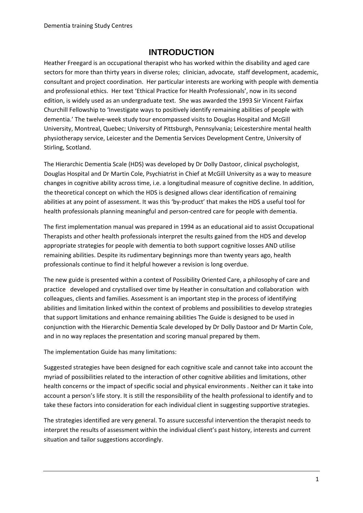#### **INTRODUCTION**

<span id="page-3-0"></span>Heather Freegard is an occupational therapist who has worked within the disability and aged care sectors for more than thirty years in diverse roles; clinician, advocate, staff development, academic, consultant and project coordination. Her particular interests are working with people with dementia and professional ethics. Her text 'Ethical Practice for Health Professionals', now in its second edition, is widely used as an undergraduate text. She was awarded the 1993 Sir Vincent Fairfax Churchill Fellowship to 'Investigate ways to positively identify remaining abilities of people with dementia.' The twelve-week study tour encompassed visits to Douglas Hospital and McGill University, Montreal, Quebec; University of Pittsburgh, Pennsylvania; Leicestershire mental health physiotherapy service, Leicester and the Dementia Services Development Centre, University of Stirling, Scotland.

The Hierarchic Dementia Scale (HDS) was developed by Dr Dolly Dastoor, clinical psychologist, Douglas Hospital and Dr Martin Cole, Psychiatrist in Chief at McGill University as a way to measure changes in cognitive ability across time, i.e. a longitudinal measure of cognitive decline. In addition, the theoretical concept on which the HDS is designed allows clear identification of remaining abilities at any point of assessment. It was this 'by-product' that makes the HDS a useful tool for health professionals planning meaningful and person-centred care for people with dementia.

The first implementation manual was prepared in 1994 as an educational aid to assist Occupational Therapists and other health professionals interpret the results gained from the HDS and develop appropriate strategies for people with dementia to both support cognitive losses AND utilise remaining abilities. Despite its rudimentary beginnings more than twenty years ago, health professionals continue to find it helpful however a revision is long overdue.

The new guide is presented within a context of Possibility Oriented Care, a philosophy of care and practice developed and crystallised over time by Heather in consultation and collaboration with colleagues, clients and families. Assessment is an important step in the process of identifying abilities and limitation linked within the context of problems and possibilities to develop strategies that support limitations and enhance remaining abilities The Guide is designed to be used in conjunction with the Hierarchic Dementia Scale developed by Dr Dolly Dastoor and Dr Martin Cole, and in no way replaces the presentation and scoring manual prepared by them.

The implementation Guide has many limitations:

Suggested strategies have been designed for each cognitive scale and cannot take into account the myriad of possibilities related to the interaction of other cognitive abilities and limitations, other health concerns or the impact of specific social and physical environments . Neither can it take into account a person's life story. It is still the responsibility of the health professional to identify and to take these factors into consideration for each individual client in suggesting supportive strategies.

The strategies identified are very general. To assure successful intervention the therapist needs to interpret the results of assessment within the individual client's past history, interests and current situation and tailor suggestions accordingly.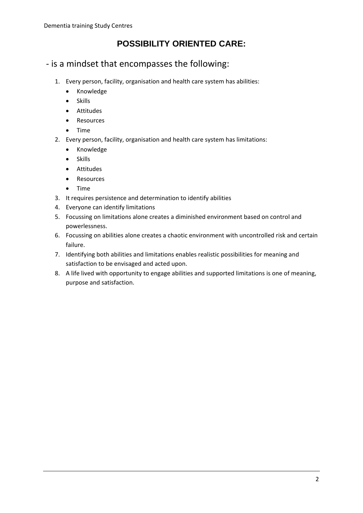## **POSSIBILITY ORIENTED CARE:**

- <span id="page-4-0"></span>- is a mindset that encompasses the following:
	- 1. Every person, facility, organisation and health care system has abilities:
		- Knowledge
		- Skills
		- Attitudes
		- Resources
		- Time
	- 2. Every person, facility, organisation and health care system has limitations:
		- Knowledge
		- Skills
		- Attitudes
		- Resources
		- Time
	- 3. It requires persistence and determination to identify abilities
	- 4. Everyone can identify limitations
	- 5. Focussing on limitations alone creates a diminished environment based on control and powerlessness.
	- 6. Focussing on abilities alone creates a chaotic environment with uncontrolled risk and certain failure.
	- 7. Identifying both abilities and limitations enables realistic possibilities for meaning and satisfaction to be envisaged and acted upon.
	- 8. A life lived with opportunity to engage abilities and supported limitations is one of meaning, purpose and satisfaction.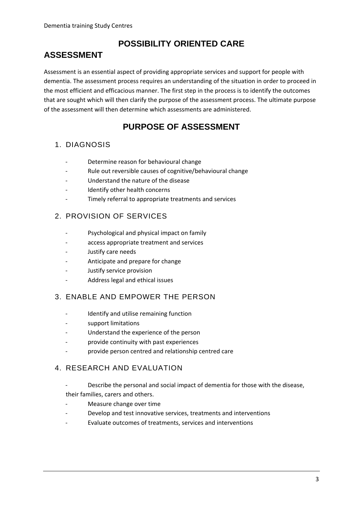## **ASSESSMENT**

## **POSSIBILITY ORIENTED CARE**

Assessment is an essential aspect of providing appropriate services and support for people with dementia. The assessment process requires an understanding of the situation in order to proceed in the most efficient and efficacious manner. The first step in the process is to identify the outcomes that are sought which will then clarify the purpose of the assessment process. The ultimate purpose of the assessment will then determine which assessments are administered.

## **PURPOSE OF ASSESSMENT**

#### 1. DIAGNOSIS

- Determine reason for behavioural change
- Rule out reversible causes of cognitive/behavioural change
- Understand the nature of the disease
- Identify other health concerns
- Timely referral to appropriate treatments and services

#### 2. PROVISION OF SERVICES

- Psychological and physical impact on family
- access appropriate treatment and services
- Justify care needs
- Anticipate and prepare for change
- Justify service provision
- Address legal and ethical issues

#### 3. ENABLE AND EMPOWER THE PERSON

- Identify and utilise remaining function
- support limitations
- Understand the experience of the person
- provide continuity with past experiences
- provide person centred and relationship centred care

#### 4. RESEARCH AND EVALUATION

- Describe the personal and social impact of dementia for those with the disease, their families, carers and others.
- Measure change over time
- Develop and test innovative services, treatments and interventions
- Evaluate outcomes of treatments, services and interventions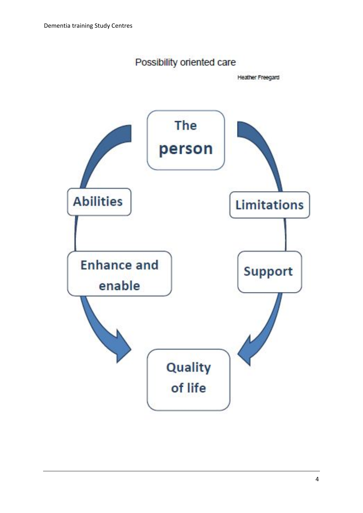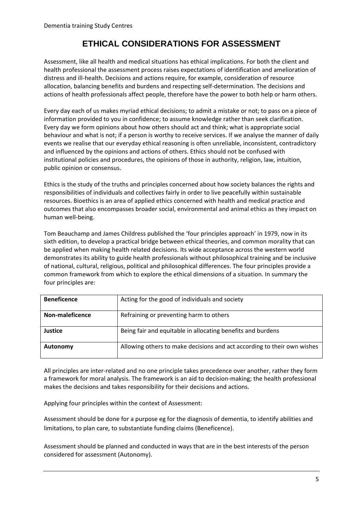## **ETHICAL CONSIDERATIONS FOR ASSESSMENT**

<span id="page-7-0"></span>Assessment, like all health and medical situations has ethical implications. For both the client and health professional the assessment process raises expectations of identification and amelioration of distress and ill-health. Decisions and actions require, for example, consideration of resource allocation, balancing benefits and burdens and respecting self-determination. The decisions and actions of health professionals affect people, therefore have the power to both help or harm others.

Every day each of us makes myriad ethical decisions; to admit a mistake or not; to pass on a piece of information provided to you in confidence; to assume knowledge rather than seek clarification. Every day we form opinions about how others should act and think; what is appropriate social behaviour and what is not; if a person is worthy to receive services. If we analyse the manner of daily events we realise that our everyday ethical reasoning is often unreliable, inconsistent, contradictory and influenced by the opinions and actions of others. Ethics should not be confused with institutional policies and procedures, the opinions of those in authority, religion, law, intuition, public opinion or consensus.

Ethics is the study of the truths and principles concerned about how society balances the rights and responsibilities of individuals and collectives fairly in order to live peacefully within sustainable resources. Bioethics is an area of applied ethics concerned with health and medical practice and outcomes that also encompasses broader social, environmental and animal ethics as they impact on human well-being.

Tom Beauchamp and James Childress published the 'four principles approach' in 1979, now in its sixth edition, to develop a practical bridge between ethical theories, and common morality that can be applied when making health related decisions. Its wide acceptance across the western world demonstrates its ability to guide health professionals without philosophical training and be inclusive of national, cultural, religious, political and philosophical differences. The four principles provide a common framework from which to explore the ethical dimensions of a situation. In summary the four principles are:

| <b>Beneficence</b> | Acting for the good of individuals and society                          |
|--------------------|-------------------------------------------------------------------------|
| Non-maleficence    | Refraining or preventing harm to others                                 |
| Justice            | Being fair and equitable in allocating benefits and burdens             |
| Autonomy           | Allowing others to make decisions and act according to their own wishes |

All principles are inter-related and no one principle takes precedence over another, rather they form a framework for moral analysis. The framework is an aid to decision-making; the health professional makes the decisions and takes responsibility for their decisions and actions.

Applying four principles within the context of Assessment:

Assessment should be done for a purpose eg for the diagnosis of dementia, to identify abilities and limitations, to plan care, to substantiate funding claims (Beneficence).

Assessment should be planned and conducted in ways that are in the best interests of the person considered for assessment (Autonomy).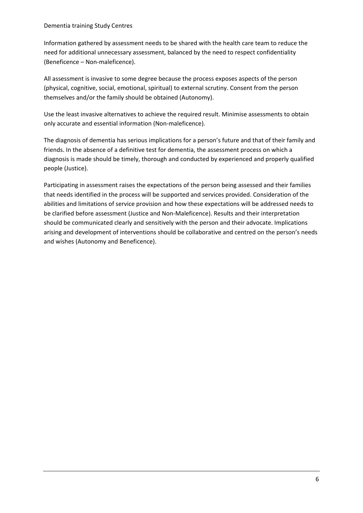Information gathered by assessment needs to be shared with the health care team to reduce the need for additional unnecessary assessment, balanced by the need to respect confidentiality (Beneficence – Non-maleficence).

All assessment is invasive to some degree because the process exposes aspects of the person (physical, cognitive, social, emotional, spiritual) to external scrutiny. Consent from the person themselves and/or the family should be obtained (Autonomy).

Use the least invasive alternatives to achieve the required result. Minimise assessments to obtain only accurate and essential information (Non-maleficence).

The diagnosis of dementia has serious implications for a person's future and that of their family and friends. In the absence of a definitive test for dementia, the assessment process on which a diagnosis is made should be timely, thorough and conducted by experienced and properly qualified people (Justice).

Participating in assessment raises the expectations of the person being assessed and their families that needs identified in the process will be supported and services provided. Consideration of the abilities and limitations of service provision and how these expectations will be addressed needs to be clarified before assessment (Justice and Non-Maleficence). Results and their interpretation should be communicated clearly and sensitively with the person and their advocate. Implications arising and development of interventions should be collaborative and centred on the person's needs and wishes (Autonomy and Beneficence).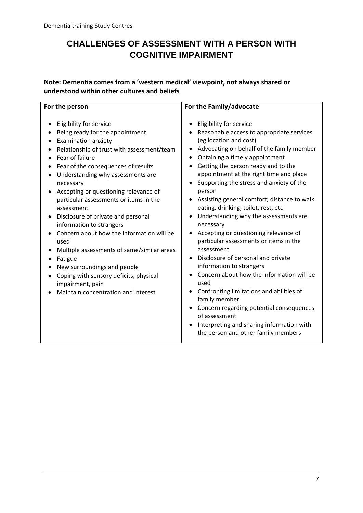## <span id="page-9-0"></span>**CHALLENGES OF ASSESSMENT WITH A PERSON WITH COGNITIVE IMPAIRMENT**

**Note: Dementia comes from a 'western medical' viewpoint, not always shared or understood within other cultures and beliefs**

| For the person                                                                                                                                                                                                                                                                                                                                                                                                                                                                                                                                                                                                                                                          | For the Family/advocate                                                                                                                                                                                                                                                                                                                                                                                                                                                                                                                                                                                                                                                                                                                                                                                                                                                                                  |  |
|-------------------------------------------------------------------------------------------------------------------------------------------------------------------------------------------------------------------------------------------------------------------------------------------------------------------------------------------------------------------------------------------------------------------------------------------------------------------------------------------------------------------------------------------------------------------------------------------------------------------------------------------------------------------------|----------------------------------------------------------------------------------------------------------------------------------------------------------------------------------------------------------------------------------------------------------------------------------------------------------------------------------------------------------------------------------------------------------------------------------------------------------------------------------------------------------------------------------------------------------------------------------------------------------------------------------------------------------------------------------------------------------------------------------------------------------------------------------------------------------------------------------------------------------------------------------------------------------|--|
| Eligibility for service<br>Being ready for the appointment<br><b>Examination anxiety</b><br>Relationship of trust with assessment/team<br>Fear of failure<br>Fear of the consequences of results<br>Understanding why assessments are<br>necessary<br>Accepting or questioning relevance of<br>particular assessments or items in the<br>assessment<br>Disclosure of private and personal<br>information to strangers<br>Concern about how the information will be<br>used<br>Multiple assessments of same/similar areas<br>Fatigue<br>New surroundings and people<br>Coping with sensory deficits, physical<br>impairment, pain<br>Maintain concentration and interest | Eligibility for service<br>Reasonable access to appropriate services<br>(eg location and cost)<br>Advocating on behalf of the family member<br>Obtaining a timely appointment<br>Getting the person ready and to the<br>appointment at the right time and place<br>Supporting the stress and anxiety of the<br>person<br>Assisting general comfort; distance to walk,<br>eating, drinking, toilet, rest, etc<br>Understanding why the assessments are<br>necessary<br>Accepting or questioning relevance of<br>particular assessments or items in the<br>assessment<br>Disclosure of personal and private<br>information to strangers<br>Concern about how the information will be<br>used<br>Confronting limitations and abilities of<br>family member<br>Concern regarding potential consequences<br>of assessment<br>Interpreting and sharing information with<br>the person and other family members |  |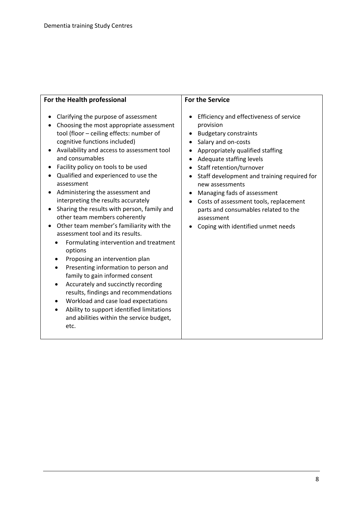| For the Health professional                                                                                                                                                                                                                                                                                                                                                                                                                                                                                                                                                                                                                                                                                                                                                                                                                                                                                                                                                                | <b>For the Service</b>                                                                                                                                                                                                                                                                                                                                                                                                                                                                             |
|--------------------------------------------------------------------------------------------------------------------------------------------------------------------------------------------------------------------------------------------------------------------------------------------------------------------------------------------------------------------------------------------------------------------------------------------------------------------------------------------------------------------------------------------------------------------------------------------------------------------------------------------------------------------------------------------------------------------------------------------------------------------------------------------------------------------------------------------------------------------------------------------------------------------------------------------------------------------------------------------|----------------------------------------------------------------------------------------------------------------------------------------------------------------------------------------------------------------------------------------------------------------------------------------------------------------------------------------------------------------------------------------------------------------------------------------------------------------------------------------------------|
| Clarifying the purpose of assessment<br>Choosing the most appropriate assessment<br>tool (floor - ceiling effects: number of<br>cognitive functions included)<br>Availability and access to assessment tool<br>and consumables<br>Facility policy on tools to be used<br>Qualified and experienced to use the<br>assessment<br>Administering the assessment and<br>interpreting the results accurately<br>Sharing the results with person, family and<br>other team members coherently<br>Other team member's familiarity with the<br>assessment tool and its results.<br>Formulating intervention and treatment<br>options<br>Proposing an intervention plan<br>$\bullet$<br>Presenting information to person and<br>family to gain informed consent<br>Accurately and succinctly recording<br>results, findings and recommendations<br>Workload and case load expectations<br>$\bullet$<br>Ability to support identified limitations<br>and abilities within the service budget,<br>etc. | Efficiency and effectiveness of service<br>provision<br><b>Budgetary constraints</b><br>$\bullet$<br>Salary and on-costs<br>$\bullet$<br>Appropriately qualified staffing<br>Adequate staffing levels<br>$\bullet$<br>Staff retention/turnover<br>Staff development and training required for<br>$\bullet$<br>new assessments<br>Managing fads of assessment<br>Costs of assessment tools, replacement<br>parts and consumables related to the<br>assessment<br>Coping with identified unmet needs |
|                                                                                                                                                                                                                                                                                                                                                                                                                                                                                                                                                                                                                                                                                                                                                                                                                                                                                                                                                                                            |                                                                                                                                                                                                                                                                                                                                                                                                                                                                                                    |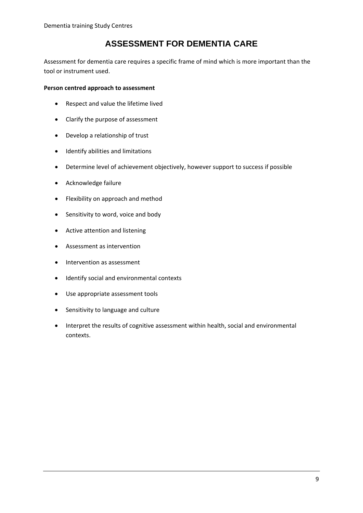## **ASSESSMENT FOR DEMENTIA CARE**

<span id="page-11-0"></span>Assessment for dementia care requires a specific frame of mind which is more important than the tool or instrument used.

#### **Person centred approach to assessment**

- Respect and value the lifetime lived
- Clarify the purpose of assessment
- Develop a relationship of trust
- Identify abilities and limitations
- Determine level of achievement objectively, however support to success if possible
- Acknowledge failure
- Flexibility on approach and method
- Sensitivity to word, voice and body
- Active attention and listening
- Assessment as intervention
- Intervention as assessment
- Identify social and environmental contexts
- Use appropriate assessment tools
- Sensitivity to language and culture
- Interpret the results of cognitive assessment within health, social and environmental contexts.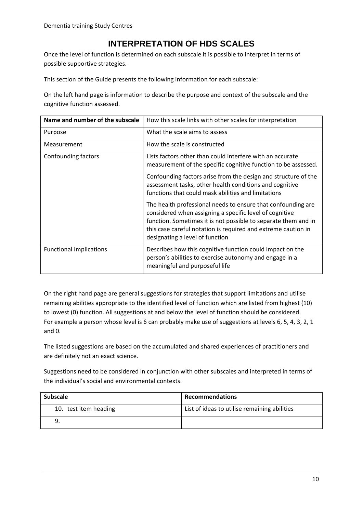### **INTERPRETATION OF HDS SCALES**

<span id="page-12-0"></span>Once the level of function is determined on each subscale it is possible to interpret in terms of possible supportive strategies.

This section of the Guide presents the following information for each subscale:

On the left hand page is information to describe the purpose and context of the subscale and the cognitive function assessed.

| Name and number of the subscale | How this scale links with other scales for interpretation                                                                                                                                                                                                                                     |
|---------------------------------|-----------------------------------------------------------------------------------------------------------------------------------------------------------------------------------------------------------------------------------------------------------------------------------------------|
| Purpose                         | What the scale aims to assess                                                                                                                                                                                                                                                                 |
| Measurement                     | How the scale is constructed                                                                                                                                                                                                                                                                  |
| Confounding factors             | Lists factors other than could interfere with an accurate<br>measurement of the specific cognitive function to be assessed.                                                                                                                                                                   |
|                                 | Confounding factors arise from the design and structure of the<br>assessment tasks, other health conditions and cognitive<br>functions that could mask abilities and limitations                                                                                                              |
|                                 | The health professional needs to ensure that confounding are<br>considered when assigning a specific level of cognitive<br>function. Sometimes it is not possible to separate them and in<br>this case careful notation is required and extreme caution in<br>designating a level of function |
| <b>Functional Implications</b>  | Describes how this cognitive function could impact on the<br>person's abilities to exercise autonomy and engage in a<br>meaningful and purposeful life                                                                                                                                        |

On the right hand page are general suggestions for strategies that support limitations and utilise remaining abilities appropriate to the identified level of function which are listed from highest (10) to lowest (0) function. All suggestions at and below the level of function should be considered. For example a person whose level is 6 can probably make use of suggestions at levels 6, 5, 4, 3, 2, 1 and 0.

The listed suggestions are based on the accumulated and shared experiences of practitioners and are definitely not an exact science.

Suggestions need to be considered in conjunction with other subscales and interpreted in terms of the individual's social and environmental contexts.

| <b>Subscale</b>       | <b>Recommendations</b>                       |
|-----------------------|----------------------------------------------|
| 10. test item heading | List of ideas to utilise remaining abilities |
|                       |                                              |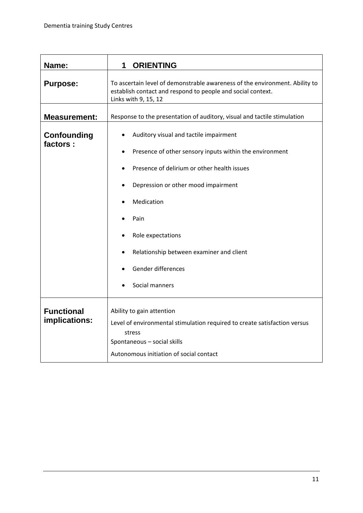<span id="page-13-0"></span>

| Name:                              | <b>ORIENTING</b><br>1                                                                                                                                                                                                                                                                                                               |  |
|------------------------------------|-------------------------------------------------------------------------------------------------------------------------------------------------------------------------------------------------------------------------------------------------------------------------------------------------------------------------------------|--|
| <b>Purpose:</b>                    | To ascertain level of demonstrable awareness of the environment. Ability to<br>establish contact and respond to people and social context.<br>Links with 9, 15, 12                                                                                                                                                                  |  |
| <b>Measurement:</b>                | Response to the presentation of auditory, visual and tactile stimulation                                                                                                                                                                                                                                                            |  |
| <b>Confounding</b><br>factors:     | Auditory visual and tactile impairment<br>Presence of other sensory inputs within the environment<br>$\bullet$<br>Presence of delirium or other health issues<br>Depression or other mood impairment<br>Medication<br>Pain<br>Role expectations<br>Relationship between examiner and client<br>Gender differences<br>Social manners |  |
| <b>Functional</b><br>implications: | Ability to gain attention<br>Level of environmental stimulation required to create satisfaction versus<br>stress<br>Spontaneous - social skills<br>Autonomous initiation of social contact                                                                                                                                          |  |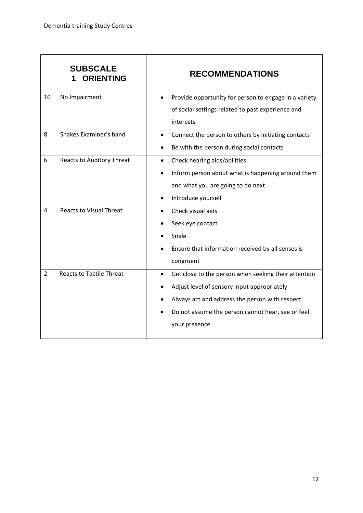|                | <b>SUBSCALE</b><br><b>ORIENTING</b> | <b>RECOMMENDATIONS</b>                                             |
|----------------|-------------------------------------|--------------------------------------------------------------------|
| 10             | No Impairment                       | Provide opportunity for person to engage in a variety<br>$\bullet$ |
|                |                                     | of social settings related to past experience and                  |
|                |                                     | interests                                                          |
| 8              | Shakes Examiner's hand              | Connect the person to others by initiating contacts<br>$\bullet$   |
|                |                                     | Be with the person during social contacts                          |
| 6              | Reacts to Auditory Threat           | Check hearing aids/abilities<br>$\bullet$                          |
|                |                                     | Inform person about what is happening around them                  |
|                |                                     | and what you are going to do next                                  |
|                |                                     | Introduce yourself                                                 |
| 4              | <b>Reacts to Visual Threat</b>      | Check visual aids<br>$\bullet$                                     |
|                |                                     | Seek eye contact                                                   |
|                |                                     | Smile                                                              |
|                |                                     | Ensure that information received by all senses is                  |
|                |                                     | congruent                                                          |
| $\overline{2}$ | <b>Reacts to Tactile Threat</b>     | Get close to the person when seeking their attention               |
|                |                                     | Adjust level of sensory input appropriately                        |
|                |                                     | Always act and address the person with respect                     |
|                |                                     | Do not assume the person cannot hear, see or feel                  |
|                |                                     | your presence                                                      |
|                |                                     |                                                                    |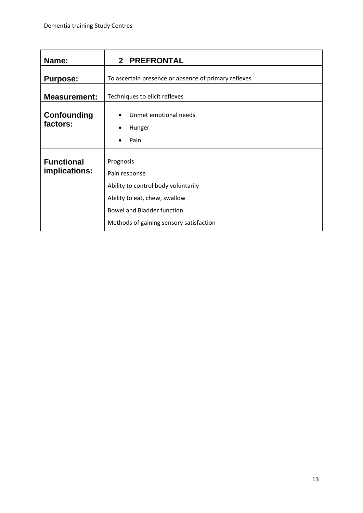<span id="page-15-0"></span>

| Name:                              | 2 PREFRONTAL                                                                                                                                                                       |  |
|------------------------------------|------------------------------------------------------------------------------------------------------------------------------------------------------------------------------------|--|
| <b>Purpose:</b>                    | To ascertain presence or absence of primary reflexes                                                                                                                               |  |
| <b>Measurement:</b>                | Techniques to elicit reflexes                                                                                                                                                      |  |
| <b>Confounding</b><br>factors:     | Unmet emotional needs<br>Hunger<br>Pain                                                                                                                                            |  |
| <b>Functional</b><br>implications: | Prognosis<br>Pain response<br>Ability to control body voluntarily<br>Ability to eat, chew, swallow<br><b>Bowel and Bladder function</b><br>Methods of gaining sensory satisfaction |  |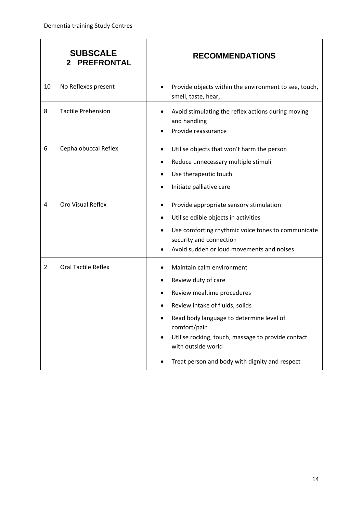|                | <b>SUBSCALE</b><br><b>PREFRONTAL</b><br>2 | <b>RECOMMENDATIONS</b>                                                                                                                                                                                                                                                                                      |
|----------------|-------------------------------------------|-------------------------------------------------------------------------------------------------------------------------------------------------------------------------------------------------------------------------------------------------------------------------------------------------------------|
| 10             | No Reflexes present                       | Provide objects within the environment to see, touch,<br>٠<br>smell, taste, hear,                                                                                                                                                                                                                           |
| 8              | <b>Tactile Prehension</b>                 | Avoid stimulating the reflex actions during moving<br>and handling<br>Provide reassurance                                                                                                                                                                                                                   |
| 6              | Cephalobuccal Reflex                      | Utilise objects that won't harm the person<br>Reduce unnecessary multiple stimuli<br>Use therapeutic touch<br>Initiate palliative care                                                                                                                                                                      |
| 4              | Oro Visual Reflex                         | Provide appropriate sensory stimulation<br>Utilise edible objects in activities<br>Use comforting rhythmic voice tones to communicate<br>security and connection<br>Avoid sudden or loud movements and noises                                                                                               |
| $\overline{2}$ | <b>Oral Tactile Reflex</b>                | Maintain calm environment<br>Review duty of care<br>Review mealtime procedures<br>Review intake of fluids, solids<br>Read body language to determine level of<br>comfort/pain<br>Utilise rocking, touch, massage to provide contact<br>with outside world<br>Treat person and body with dignity and respect |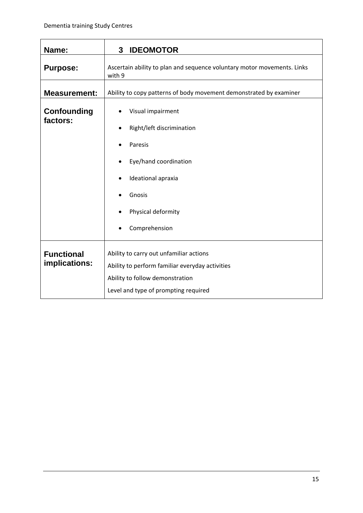<span id="page-17-0"></span>

| Name:                              | <b>IDEOMOTOR</b><br>3                                                                                                                                                 |  |
|------------------------------------|-----------------------------------------------------------------------------------------------------------------------------------------------------------------------|--|
| <b>Purpose:</b>                    | Ascertain ability to plan and sequence voluntary motor movements. Links<br>with 9                                                                                     |  |
| <b>Measurement:</b>                | Ability to copy patterns of body movement demonstrated by examiner                                                                                                    |  |
| <b>Confounding</b><br>factors:     | Visual impairment<br>Right/left discrimination<br>Paresis<br>$\bullet$<br>Eye/hand coordination<br>Ideational apraxia<br>Gnosis<br>Physical deformity                 |  |
| <b>Functional</b><br>implications: | Ability to carry out unfamiliar actions<br>Ability to perform familiar everyday activities<br>Ability to follow demonstration<br>Level and type of prompting required |  |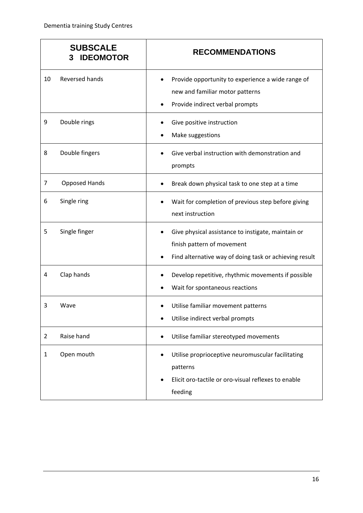|                | <b>SUBSCALE</b><br><b>IDEOMOTOR</b><br>3 | <b>RECOMMENDATIONS</b>                                                                                                                     |
|----------------|------------------------------------------|--------------------------------------------------------------------------------------------------------------------------------------------|
| 10             | <b>Reversed hands</b>                    | Provide opportunity to experience a wide range of<br>new and familiar motor patterns<br>Provide indirect verbal prompts                    |
| 9              | Double rings                             | Give positive instruction<br>Make suggestions                                                                                              |
| 8              | Double fingers                           | Give verbal instruction with demonstration and<br>prompts                                                                                  |
| 7              | <b>Opposed Hands</b>                     | Break down physical task to one step at a time                                                                                             |
| 6              | Single ring                              | Wait for completion of previous step before giving<br>next instruction                                                                     |
| 5              | Single finger                            | Give physical assistance to instigate, maintain or<br>finish pattern of movement<br>Find alternative way of doing task or achieving result |
| 4              | Clap hands                               | Develop repetitive, rhythmic movements if possible<br>Wait for spontaneous reactions                                                       |
| 3              | Wave                                     | Utilise familiar movement patterns<br>Utilise indirect verbal prompts                                                                      |
| $\overline{2}$ | Raise hand                               | Utilise familiar stereotyped movements                                                                                                     |
| 1              | Open mouth                               | Utilise proprioceptive neuromuscular facilitating<br>٠<br>patterns<br>Elicit oro-tactile or oro-visual reflexes to enable<br>feeding       |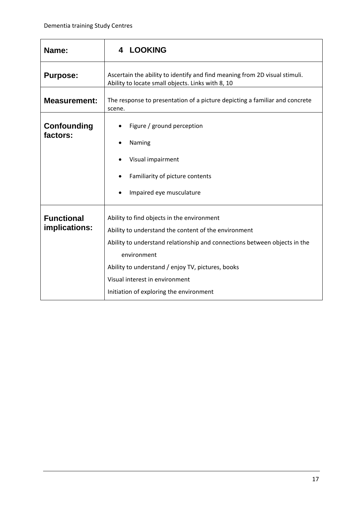<span id="page-19-0"></span>

| Name:                              | <b>LOOKING</b><br>4                                                                                                                                                                                                                                                                                                              |  |
|------------------------------------|----------------------------------------------------------------------------------------------------------------------------------------------------------------------------------------------------------------------------------------------------------------------------------------------------------------------------------|--|
| <b>Purpose:</b>                    | Ascertain the ability to identify and find meaning from 2D visual stimuli.<br>Ability to locate small objects. Links with 8, 10                                                                                                                                                                                                  |  |
| <b>Measurement:</b>                | The response to presentation of a picture depicting a familiar and concrete<br>scene.                                                                                                                                                                                                                                            |  |
| <b>Confounding</b><br>factors:     | Figure / ground perception<br>Naming<br>Visual impairment<br>Familiarity of picture contents<br>Impaired eye musculature                                                                                                                                                                                                         |  |
| <b>Functional</b><br>implications: | Ability to find objects in the environment<br>Ability to understand the content of the environment<br>Ability to understand relationship and connections between objects in the<br>environment<br>Ability to understand / enjoy TV, pictures, books<br>Visual interest in environment<br>Initiation of exploring the environment |  |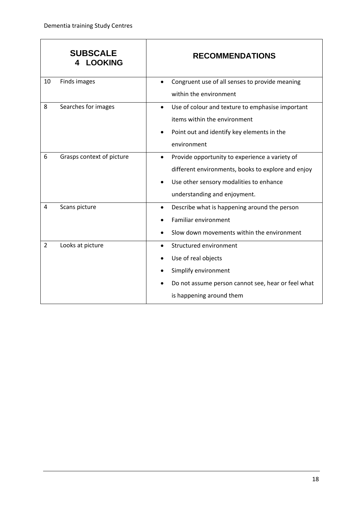|                | <b>SUBSCALE</b><br><b>LOOKING</b> | <b>RECOMMENDATIONS</b>                                        |
|----------------|-----------------------------------|---------------------------------------------------------------|
| 10             | Finds images                      | Congruent use of all senses to provide meaning<br>$\bullet$   |
|                |                                   | within the environment                                        |
| 8              | Searches for images               | Use of colour and texture to emphasise important<br>$\bullet$ |
|                |                                   | items within the environment                                  |
|                |                                   | Point out and identify key elements in the                    |
|                |                                   | environment                                                   |
| 6              | Grasps context of picture         | Provide opportunity to experience a variety of<br>$\bullet$   |
|                |                                   | different environments, books to explore and enjoy            |
|                |                                   | Use other sensory modalities to enhance                       |
|                |                                   | understanding and enjoyment.                                  |
| 4              | Scans picture                     | Describe what is happening around the person<br>٠             |
|                |                                   | <b>Familiar environment</b>                                   |
|                |                                   | Slow down movements within the environment                    |
| $\overline{2}$ | Looks at picture                  | Structured environment<br>٠                                   |
|                |                                   | Use of real objects                                           |
|                |                                   | Simplify environment                                          |
|                |                                   | Do not assume person cannot see, hear or feel what            |
|                |                                   | is happening around them                                      |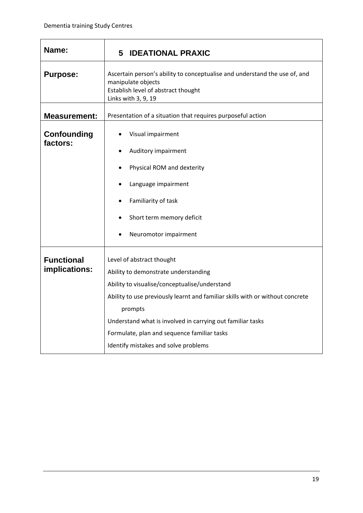<span id="page-21-0"></span>

| Name:                          | <b>5 IDEATIONAL PRAXIC</b>                                                                                                                                     |  |
|--------------------------------|----------------------------------------------------------------------------------------------------------------------------------------------------------------|--|
| <b>Purpose:</b>                | Ascertain person's ability to conceptualise and understand the use of, and<br>manipulate objects<br>Establish level of abstract thought<br>Links with 3, 9, 19 |  |
| <b>Measurement:</b>            | Presentation of a situation that requires purposeful action                                                                                                    |  |
| <b>Confounding</b><br>factors: | Visual impairment<br>Auditory impairment                                                                                                                       |  |
|                                | Physical ROM and dexterity                                                                                                                                     |  |
|                                | Language impairment                                                                                                                                            |  |
|                                | Familiarity of task                                                                                                                                            |  |
|                                | Short term memory deficit                                                                                                                                      |  |
|                                | Neuromotor impairment                                                                                                                                          |  |
| <b>Functional</b>              | Level of abstract thought                                                                                                                                      |  |
| implications:                  | Ability to demonstrate understanding                                                                                                                           |  |
|                                | Ability to visualise/conceptualise/understand                                                                                                                  |  |
|                                | Ability to use previously learnt and familiar skills with or without concrete                                                                                  |  |
|                                | prompts                                                                                                                                                        |  |
|                                | Understand what is involved in carrying out familiar tasks                                                                                                     |  |
|                                | Formulate, plan and sequence familiar tasks                                                                                                                    |  |
|                                | Identify mistakes and solve problems                                                                                                                           |  |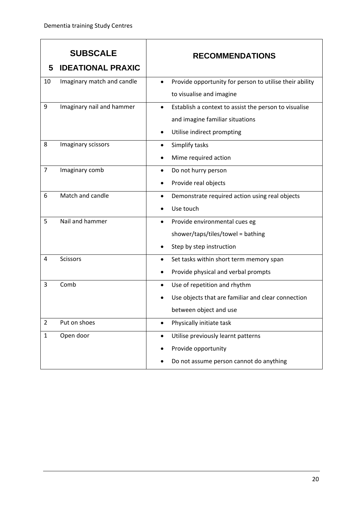| 5              | <b>SUBSCALE</b><br><b>IDEATIONAL PRAXIC</b> | <b>RECOMMENDATIONS</b>                                               |
|----------------|---------------------------------------------|----------------------------------------------------------------------|
|                |                                             |                                                                      |
| 10             | Imaginary match and candle                  | Provide opportunity for person to utilise their ability<br>$\bullet$ |
|                |                                             | to visualise and imagine                                             |
| 9              | Imaginary nail and hammer                   | Establish a context to assist the person to visualise<br>$\bullet$   |
|                |                                             | and imagine familiar situations                                      |
|                |                                             | Utilise indirect prompting                                           |
| 8              | Imaginary scissors                          | Simplify tasks<br>٠                                                  |
|                |                                             | Mime required action                                                 |
| $\overline{7}$ | Imaginary comb                              | Do not hurry person<br>٠                                             |
|                |                                             | Provide real objects                                                 |
| 6              | Match and candle                            | Demonstrate required action using real objects<br>٠                  |
|                |                                             | Use touch                                                            |
| 5              | Nail and hammer                             | Provide environmental cues eg<br>٠                                   |
|                |                                             | shower/taps/tiles/towel = bathing                                    |
|                |                                             | Step by step instruction                                             |
| 4              | <b>Scissors</b>                             | Set tasks within short term memory span<br>٠                         |
|                |                                             | Provide physical and verbal prompts                                  |
| 3              | Comb                                        | Use of repetition and rhythm<br>$\bullet$                            |
|                |                                             | Use objects that are familiar and clear connection                   |
|                |                                             | between object and use                                               |
| $\overline{2}$ | Put on shoes                                | Physically initiate task<br>$\bullet$                                |
| $\mathbf{1}$   | Open door                                   | Utilise previously learnt patterns<br>$\bullet$                      |
|                |                                             | Provide opportunity                                                  |
|                |                                             | Do not assume person cannot do anything                              |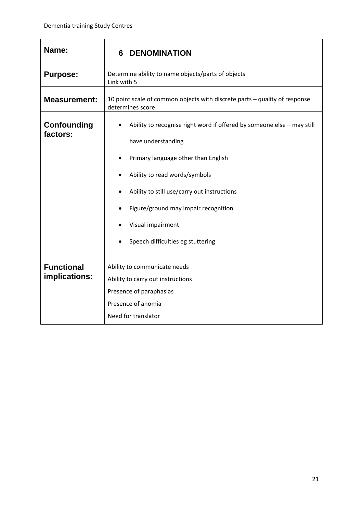<span id="page-23-0"></span>

| Name:                                             | <b>DENOMINATION</b><br>6                                                                                                                                                                                                                                                         |  |  |  |
|---------------------------------------------------|----------------------------------------------------------------------------------------------------------------------------------------------------------------------------------------------------------------------------------------------------------------------------------|--|--|--|
| <b>Purpose:</b>                                   | Determine ability to name objects/parts of objects<br>Link with 5                                                                                                                                                                                                                |  |  |  |
| <b>Measurement:</b>                               | 10 point scale of common objects with discrete parts – quality of response<br>determines score                                                                                                                                                                                   |  |  |  |
| <b>Confounding</b><br>factors:                    | Ability to recognise right word if offered by someone else - may still<br>have understanding<br>Primary language other than English<br>Ability to read words/symbols<br>Ability to still use/carry out instructions<br>Figure/ground may impair recognition<br>Visual impairment |  |  |  |
| <b>Functional</b><br>Ability to communicate needs |                                                                                                                                                                                                                                                                                  |  |  |  |
| implications:                                     | Ability to carry out instructions                                                                                                                                                                                                                                                |  |  |  |
|                                                   | Presence of anomia<br>Need for translator                                                                                                                                                                                                                                        |  |  |  |
|                                                   | Speech difficulties eg stuttering<br>Presence of paraphasias                                                                                                                                                                                                                     |  |  |  |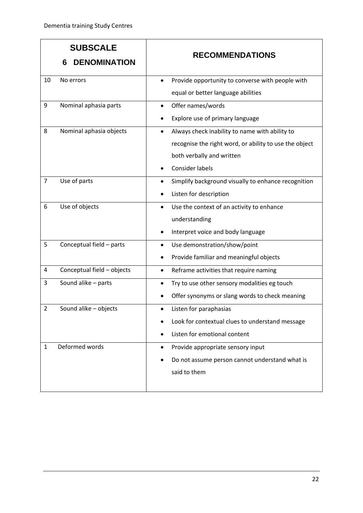| 6               | <b>SUBSCALE</b><br><b>DENOMINATION</b> |           | <b>RECOMMENDATIONS</b>                                 |
|-----------------|----------------------------------------|-----------|--------------------------------------------------------|
| 10<br>No errors |                                        | $\bullet$ | Provide opportunity to converse with people with       |
|                 |                                        |           | equal or better language abilities                     |
| 9               | Nominal aphasia parts                  |           | Offer names/words                                      |
|                 |                                        |           | Explore use of primary language                        |
| 8               | Nominal aphasia objects                |           | Always check inability to name with ability to         |
|                 |                                        |           | recognise the right word, or ability to use the object |
|                 |                                        |           | both verbally and written                              |
|                 |                                        |           | <b>Consider labels</b>                                 |
| $\overline{7}$  | Use of parts                           | $\bullet$ | Simplify background visually to enhance recognition    |
|                 |                                        |           | Listen for description                                 |
| 6               | Use of objects                         | $\bullet$ | Use the context of an activity to enhance              |
|                 |                                        |           | understanding                                          |
|                 |                                        | ٠         | Interpret voice and body language                      |
| 5               | Conceptual field - parts               | ٠         | Use demonstration/show/point                           |
|                 |                                        |           | Provide familiar and meaningful objects                |
| 4               | Conceptual field - objects             | $\bullet$ | Reframe activities that require naming                 |
| 3               | Sound alike - parts                    | $\bullet$ | Try to use other sensory modalities eg touch           |
|                 |                                        |           | Offer synonyms or slang words to check meaning         |
| $\overline{2}$  | Sound alike - objects                  | ٠         | Listen for paraphasias                                 |
|                 |                                        |           | Look for contextual clues to understand message        |
|                 |                                        |           | Listen for emotional content                           |
| $\mathbf{1}$    | Deformed words                         | ٠         | Provide appropriate sensory input                      |
|                 |                                        |           | Do not assume person cannot understand what is         |
|                 |                                        |           | said to them                                           |
|                 |                                        |           |                                                        |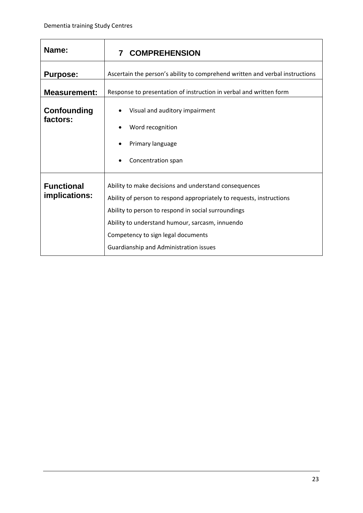<span id="page-25-0"></span>

| Name:                   | <b>COMPREHENSION</b><br>7                                                                                                                                                                                                                                      |  |  |
|-------------------------|----------------------------------------------------------------------------------------------------------------------------------------------------------------------------------------------------------------------------------------------------------------|--|--|
| <b>Purpose:</b>         | Ascertain the person's ability to comprehend written and verbal instructions                                                                                                                                                                                   |  |  |
| <b>Measurement:</b>     | Response to presentation of instruction in verbal and written form                                                                                                                                                                                             |  |  |
| Confounding<br>factors: | Visual and auditory impairment<br>Word recognition<br>Primary language<br>Concentration span                                                                                                                                                                   |  |  |
| <b>Functional</b>       | Ability to make decisions and understand consequences                                                                                                                                                                                                          |  |  |
| implications:           | Ability of person to respond appropriately to requests, instructions<br>Ability to person to respond in social surroundings<br>Ability to understand humour, sarcasm, innuendo<br>Competency to sign legal documents<br>Guardianship and Administration issues |  |  |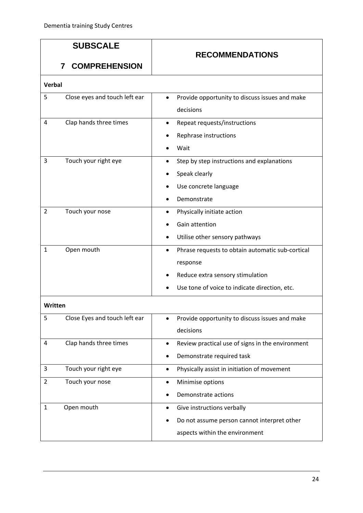|                | <b>SUBSCALE</b><br><b>COMPREHENSION</b><br>7 | <b>RECOMMENDATIONS</b>                                                                                                                            |
|----------------|----------------------------------------------|---------------------------------------------------------------------------------------------------------------------------------------------------|
| <b>Verbal</b>  |                                              |                                                                                                                                                   |
| 5              | Close eyes and touch left ear                | Provide opportunity to discuss issues and make<br>decisions                                                                                       |
| 4              | Clap hands three times                       | Repeat requests/instructions<br>$\bullet$<br>Rephrase instructions<br>Wait                                                                        |
| 3              | Touch your right eye                         | Step by step instructions and explanations<br>Speak clearly<br>$\bullet$<br>Use concrete language<br>Demonstrate                                  |
| $\overline{2}$ | Touch your nose                              | Physically initiate action<br>Gain attention<br>Utilise other sensory pathways                                                                    |
| $\mathbf 1$    | Open mouth                                   | Phrase requests to obtain automatic sub-cortical<br>response<br>Reduce extra sensory stimulation<br>Use tone of voice to indicate direction, etc. |
| Written        |                                              |                                                                                                                                                   |
| 5              | Close Eyes and touch left ear                | Provide opportunity to discuss issues and make<br>decisions                                                                                       |
| 4              | Clap hands three times                       | Review practical use of signs in the environment<br>٠<br>Demonstrate required task                                                                |

3 Touch your right eye **•** Physically assist in initiation of movement

• Demonstrate actions

• Do not assume person cannot interpret other

aspects within the environment

2 Touch your nose **•** Minimise options

1 Open mouth • Give instructions verbally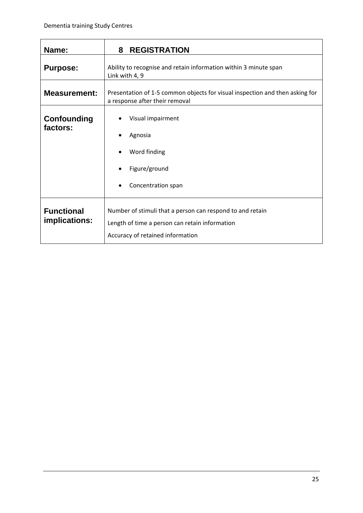<span id="page-27-0"></span>

| Name:                              | <b>REGISTRATION</b><br>8                                                                                                                        |  |  |
|------------------------------------|-------------------------------------------------------------------------------------------------------------------------------------------------|--|--|
| <b>Purpose:</b>                    | Ability to recognise and retain information within 3 minute span<br>Link with 4, 9                                                              |  |  |
| <b>Measurement:</b>                | Presentation of 1-5 common objects for visual inspection and then asking for<br>a response after their removal                                  |  |  |
| Confounding<br>factors:            | Visual impairment<br>Agnosia<br>Word finding<br>Figure/ground<br>Concentration span                                                             |  |  |
| <b>Functional</b><br>implications: | Number of stimuli that a person can respond to and retain<br>Length of time a person can retain information<br>Accuracy of retained information |  |  |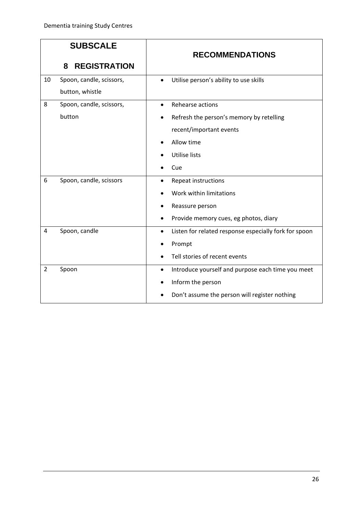|                | <b>SUBSCALE</b>          | <b>RECOMMENDATIONS</b>                                             |
|----------------|--------------------------|--------------------------------------------------------------------|
|                | <b>REGISTRATION</b><br>8 |                                                                    |
| 10             | Spoon, candle, scissors, | Utilise person's ability to use skills<br>$\bullet$                |
|                | button, whistle          |                                                                    |
| 8              | Spoon, candle, scissors, | Rehearse actions<br>$\bullet$                                      |
|                | button                   | Refresh the person's memory by retelling<br>$\bullet$              |
|                |                          | recent/important events                                            |
|                |                          | Allow time                                                         |
|                |                          | <b>Utilise lists</b>                                               |
|                |                          | Cue                                                                |
| 6              | Spoon, candle, scissors  | Repeat instructions<br>$\bullet$                                   |
|                |                          | Work within limitations                                            |
|                |                          | Reassure person                                                    |
|                |                          | Provide memory cues, eg photos, diary<br>٠                         |
| 4              | Spoon, candle            | Listen for related response especially fork for spoon<br>$\bullet$ |
|                |                          | Prompt                                                             |
|                |                          | Tell stories of recent events                                      |
| $\overline{2}$ | Spoon                    | Introduce yourself and purpose each time you meet<br>$\bullet$     |
|                |                          | Inform the person                                                  |
|                |                          | Don't assume the person will register nothing                      |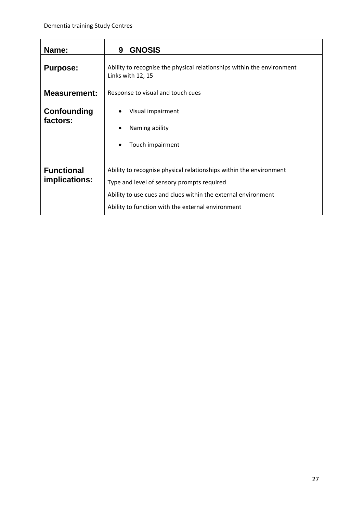<span id="page-29-0"></span>

| Name:                              | <b>GNOSIS</b><br>9                                                                                                                                                                                                                     |  |  |
|------------------------------------|----------------------------------------------------------------------------------------------------------------------------------------------------------------------------------------------------------------------------------------|--|--|
| <b>Purpose:</b>                    | Ability to recognise the physical relationships within the environment<br>Links with 12, 15                                                                                                                                            |  |  |
| <b>Measurement:</b>                | Response to visual and touch cues                                                                                                                                                                                                      |  |  |
| Confounding<br>factors:            | Visual impairment<br>Naming ability<br>Touch impairment                                                                                                                                                                                |  |  |
| <b>Functional</b><br>implications: | Ability to recognise physical relationships within the environment<br>Type and level of sensory prompts required<br>Ability to use cues and clues within the external environment<br>Ability to function with the external environment |  |  |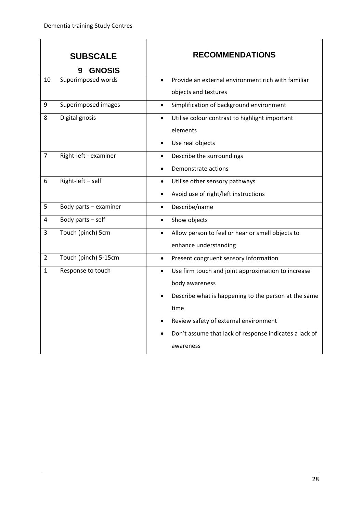$\overline{1}$ 

٦

|                | <b>SUBSCALE</b><br><b>GNOSIS</b> | <b>RECOMMENDATIONS</b>                                                                                                                                                                                                                                            |
|----------------|----------------------------------|-------------------------------------------------------------------------------------------------------------------------------------------------------------------------------------------------------------------------------------------------------------------|
| 10             | Superimposed words               | Provide an external environment rich with familiar<br>$\bullet$<br>objects and textures                                                                                                                                                                           |
| 9              | Superimposed images              | Simplification of background environment<br>$\bullet$                                                                                                                                                                                                             |
| 8              | Digital gnosis                   | Utilise colour contrast to highlight important<br>$\bullet$<br>elements<br>Use real objects                                                                                                                                                                       |
| $\overline{7}$ | Right-left - examiner            | Describe the surroundings<br>$\bullet$<br>Demonstrate actions                                                                                                                                                                                                     |
| 6              | Right-left - self                | Utilise other sensory pathways<br>$\bullet$<br>Avoid use of right/left instructions                                                                                                                                                                               |
| 5              | Body parts - examiner            | Describe/name<br>$\bullet$                                                                                                                                                                                                                                        |
| 4              | Body parts - self                | Show objects<br>$\bullet$                                                                                                                                                                                                                                         |
| 3              | Touch (pinch) 5cm                | Allow person to feel or hear or smell objects to<br>$\bullet$<br>enhance understanding                                                                                                                                                                            |
| $\overline{2}$ | Touch (pinch) 5-15cm             | Present congruent sensory information<br>$\bullet$                                                                                                                                                                                                                |
| $\mathbf{1}$   | Response to touch                | Use firm touch and joint approximation to increase<br>$\bullet$<br>body awareness<br>Describe what is happening to the person at the same<br>time<br>Review safety of external environment<br>Don't assume that lack of response indicates a lack of<br>awareness |

h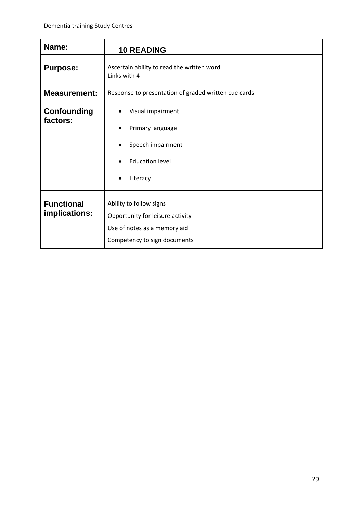<span id="page-31-0"></span>

| Name:                              | <b>10 READING</b>                                                                                                           |  |
|------------------------------------|-----------------------------------------------------------------------------------------------------------------------------|--|
| <b>Purpose:</b>                    | Ascertain ability to read the written word<br>Links with 4                                                                  |  |
| <b>Measurement:</b>                | Response to presentation of graded written cue cards                                                                        |  |
| Confounding<br>factors:            | Visual impairment<br>Primary language<br>Speech impairment<br><b>Education level</b><br>Literacy                            |  |
| <b>Functional</b><br>implications: | Ability to follow signs<br>Opportunity for leisure activity<br>Use of notes as a memory aid<br>Competency to sign documents |  |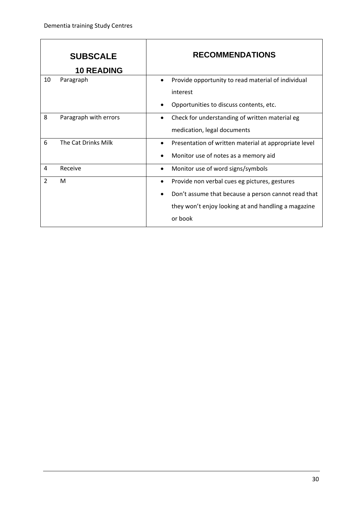|                | <b>SUBSCALE</b><br><b>10 READING</b> | <b>RECOMMENDATIONS</b>                                     |
|----------------|--------------------------------------|------------------------------------------------------------|
| 10             | Paragraph                            | Provide opportunity to read material of individual         |
|                |                                      | interest                                                   |
|                |                                      | Opportunities to discuss contents, etc.                    |
| 8              | Paragraph with errors                | Check for understanding of written material eg<br>٠        |
|                |                                      | medication, legal documents                                |
| 6              | The Cat Drinks Milk                  | Presentation of written material at appropriate level<br>٠ |
|                |                                      | Monitor use of notes as a memory aid                       |
| 4              | Receive                              | Monitor use of word signs/symbols<br>$\bullet$             |
| $\overline{2}$ | M                                    | Provide non verbal cues eg pictures, gestures<br>$\bullet$ |
|                |                                      | Don't assume that because a person cannot read that        |
|                |                                      | they won't enjoy looking at and handling a magazine        |
|                |                                      | or book                                                    |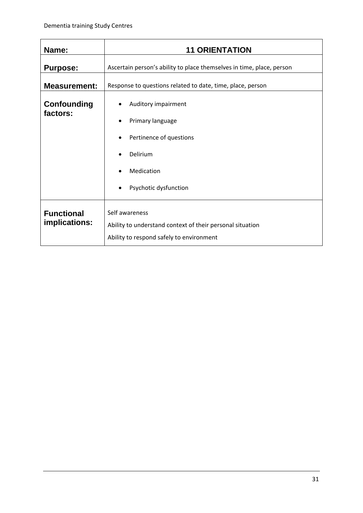<span id="page-33-0"></span>

| Name:                              | <b>11 ORIENTATION</b>                                                                                                      |  |
|------------------------------------|----------------------------------------------------------------------------------------------------------------------------|--|
| <b>Purpose:</b>                    | Ascertain person's ability to place themselves in time, place, person                                                      |  |
| <b>Measurement:</b>                | Response to questions related to date, time, place, person                                                                 |  |
| Confounding<br>factors:            | Auditory impairment<br>٠<br>Primary language<br>Pertinence of questions<br>Delirium<br>Medication<br>Psychotic dysfunction |  |
| <b>Functional</b><br>implications: | Self awareness<br>Ability to understand context of their personal situation<br>Ability to respond safely to environment    |  |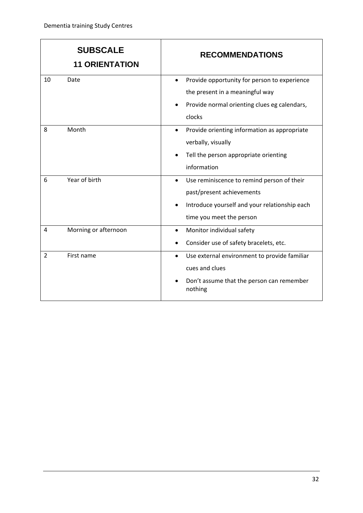|                | <b>SUBSCALE</b><br><b>11 ORIENTATION</b> | <b>RECOMMENDATIONS</b>                                                                                                                                            |
|----------------|------------------------------------------|-------------------------------------------------------------------------------------------------------------------------------------------------------------------|
| 10             | Date                                     | Provide opportunity for person to experience<br>$\bullet$<br>the present in a meaningful way<br>Provide normal orienting clues eg calendars,<br>٠<br>clocks       |
| 8              | Month                                    | Provide orienting information as appropriate<br>$\bullet$<br>verbally, visually<br>Tell the person appropriate orienting<br>information                           |
| 6              | Year of birth                            | Use reminiscence to remind person of their<br>$\bullet$<br>past/present achievements<br>Introduce yourself and your relationship each<br>time you meet the person |
| 4              | Morning or afternoon                     | Monitor individual safety<br>$\bullet$<br>Consider use of safety bracelets, etc.                                                                                  |
| $\overline{2}$ | First name                               | Use external environment to provide familiar<br>$\bullet$<br>cues and clues<br>Don't assume that the person can remember<br>nothing                               |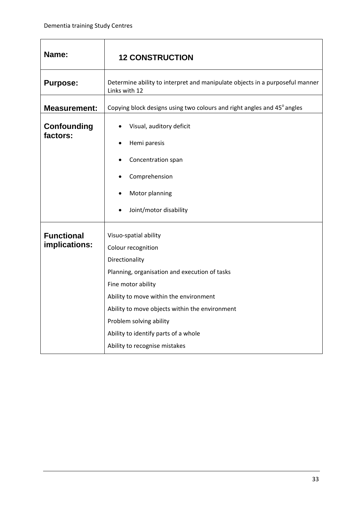$\overline{1}$ 

<span id="page-35-0"></span>

| Name:                              | <b>12 CONSTRUCTION</b>                                                                                                                                                                                                                                                                                                               |  |
|------------------------------------|--------------------------------------------------------------------------------------------------------------------------------------------------------------------------------------------------------------------------------------------------------------------------------------------------------------------------------------|--|
| <b>Purpose:</b>                    | Determine ability to interpret and manipulate objects in a purposeful manner<br>Links with 12                                                                                                                                                                                                                                        |  |
| <b>Measurement:</b>                | Copying block designs using two colours and right angles and 45° angles                                                                                                                                                                                                                                                              |  |
| <b>Confounding</b><br>factors:     | Visual, auditory deficit<br>Hemi paresis<br>Concentration span<br>Comprehension<br>Motor planning<br>Joint/motor disability                                                                                                                                                                                                          |  |
| <b>Functional</b><br>implications: | Visuo-spatial ability<br>Colour recognition<br>Directionality<br>Planning, organisation and execution of tasks<br>Fine motor ability<br>Ability to move within the environment<br>Ability to move objects within the environment<br>Problem solving ability<br>Ability to identify parts of a whole<br>Ability to recognise mistakes |  |

٦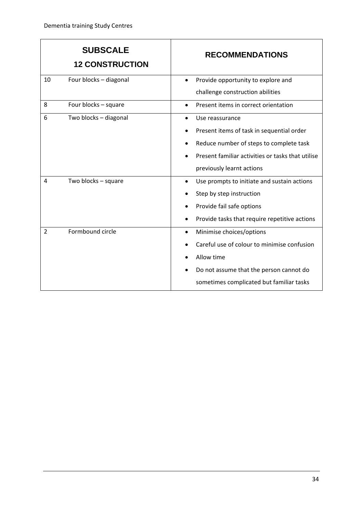|    | <b>SUBSCALE</b><br><b>12 CONSTRUCTION</b> | <b>RECOMMENDATIONS</b>                                                               |
|----|-------------------------------------------|--------------------------------------------------------------------------------------|
| 10 | Four blocks - diagonal                    | Provide opportunity to explore and<br>challenge construction abilities               |
| 8  | Four blocks - square                      | Present items in correct orientation                                                 |
| 6  | Two blocks - diagonal                     | Use reassurance                                                                      |
|    |                                           | Present items of task in sequential order<br>Reduce number of steps to complete task |
|    |                                           | Present familiar activities or tasks that utilise                                    |
|    |                                           | previously learnt actions                                                            |
| 4  | Two blocks - square                       | Use prompts to initiate and sustain actions<br>$\bullet$                             |
|    |                                           | Step by step instruction                                                             |
|    |                                           | Provide fail safe options                                                            |
|    |                                           | Provide tasks that require repetitive actions                                        |
| 2  | Formbound circle                          | Minimise choices/options<br>٠                                                        |
|    |                                           | Careful use of colour to minimise confusion                                          |
|    |                                           | Allow time                                                                           |
|    |                                           | Do not assume that the person cannot do                                              |
|    |                                           | sometimes complicated but familiar tasks                                             |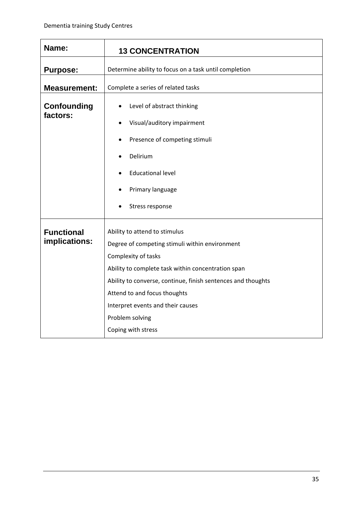<span id="page-37-0"></span>

| Name:                          | <b>13 CONCENTRATION</b>                                                    |  |
|--------------------------------|----------------------------------------------------------------------------|--|
| <b>Purpose:</b>                | Determine ability to focus on a task until completion                      |  |
| <b>Measurement:</b>            | Complete a series of related tasks                                         |  |
| <b>Confounding</b><br>factors: | Level of abstract thinking<br>$\bullet$<br>Visual/auditory impairment<br>٠ |  |
|                                | Presence of competing stimuli                                              |  |
|                                | Delirium                                                                   |  |
|                                | <b>Educational level</b>                                                   |  |
|                                | Primary language                                                           |  |
|                                | Stress response                                                            |  |
| <b>Functional</b>              | Ability to attend to stimulus                                              |  |
| implications:                  | Degree of competing stimuli within environment                             |  |
|                                | Complexity of tasks                                                        |  |
|                                | Ability to complete task within concentration span                         |  |
|                                | Ability to converse, continue, finish sentences and thoughts               |  |
|                                | Attend to and focus thoughts                                               |  |
|                                | Interpret events and their causes                                          |  |
|                                | Problem solving                                                            |  |
|                                | Coping with stress                                                         |  |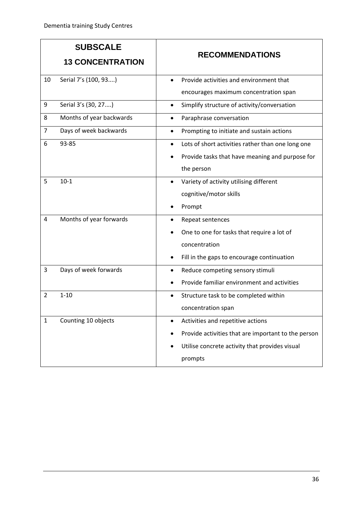| <b>SUBSCALE</b> |                          |                                                                |
|-----------------|--------------------------|----------------------------------------------------------------|
|                 | <b>13 CONCENTRATION</b>  | <b>RECOMMENDATIONS</b>                                         |
| 10              | Serial 7's (100, 93)     | Provide activities and environment that                        |
|                 |                          | encourages maximum concentration span                          |
| 9               | Serial 3's (30, 27)      | Simplify structure of activity/conversation<br>$\bullet$       |
| 8               | Months of year backwards | Paraphrase conversation                                        |
| $\overline{7}$  | Days of week backwards   | Prompting to initiate and sustain actions                      |
| 6               | 93-85                    | Lots of short activities rather than one long one<br>$\bullet$ |
|                 |                          | Provide tasks that have meaning and purpose for                |
|                 |                          | the person                                                     |
| 5               | $10-1$                   | Variety of activity utilising different                        |
|                 |                          | cognitive/motor skills                                         |
|                 |                          | Prompt                                                         |
| 4               | Months of year forwards  | Repeat sentences                                               |
|                 |                          | One to one for tasks that require a lot of                     |
|                 |                          | concentration                                                  |
|                 |                          | Fill in the gaps to encourage continuation                     |
| 3               | Days of week forwards    | Reduce competing sensory stimuli                               |
|                 |                          | Provide familiar environment and activities                    |
| $\overline{2}$  | $1 - 10$                 | Structure task to be completed within                          |
|                 |                          | concentration span                                             |
| $\mathbf{1}$    | Counting 10 objects      | Activities and repetitive actions                              |
|                 |                          | Provide activities that are important to the person            |
|                 |                          | Utilise concrete activity that provides visual                 |
|                 |                          | prompts                                                        |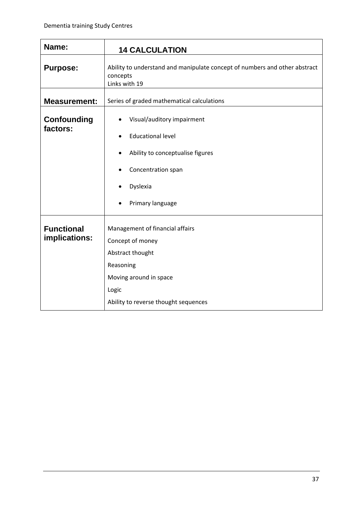<span id="page-39-0"></span>

| Name:                              | <b>14 CALCULATION</b>                                                                                                                                           |  |
|------------------------------------|-----------------------------------------------------------------------------------------------------------------------------------------------------------------|--|
| <b>Purpose:</b>                    | Ability to understand and manipulate concept of numbers and other abstract<br>concepts<br>Links with 19                                                         |  |
| <b>Measurement:</b>                | Series of graded mathematical calculations                                                                                                                      |  |
| <b>Confounding</b><br>factors:     | Visual/auditory impairment<br><b>Educational level</b><br>Ability to conceptualise figures<br>$\bullet$                                                         |  |
|                                    | Concentration span                                                                                                                                              |  |
|                                    | Dyslexia                                                                                                                                                        |  |
|                                    | Primary language                                                                                                                                                |  |
| <b>Functional</b><br>implications: | Management of financial affairs<br>Concept of money<br>Abstract thought<br>Reasoning<br>Moving around in space<br>Logic<br>Ability to reverse thought sequences |  |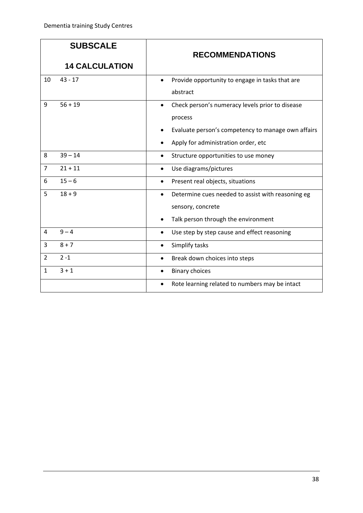| <b>SUBSCALE</b> |                       | <b>RECOMMENDATIONS</b>                                                                                                                                               |
|-----------------|-----------------------|----------------------------------------------------------------------------------------------------------------------------------------------------------------------|
|                 | <b>14 CALCULATION</b> |                                                                                                                                                                      |
| 10              | $43 - 17$             | Provide opportunity to engage in tasks that are<br>$\bullet$<br>abstract                                                                                             |
| 9               | $56 + 19$             | Check person's numeracy levels prior to disease<br>$\bullet$<br>process<br>Evaluate person's competency to manage own affairs<br>Apply for administration order, etc |
| 8               | $39 - 14$             | Structure opportunities to use money<br>$\bullet$                                                                                                                    |
| $\overline{7}$  | $21 + 11$             | Use diagrams/pictures<br>$\bullet$                                                                                                                                   |
| 6               | $15 - 6$              | Present real objects, situations<br>$\bullet$                                                                                                                        |
| 5               | $18 + 9$              | Determine cues needed to assist with reasoning eg<br>$\bullet$<br>sensory, concrete<br>Talk person through the environment                                           |
| 4               | $9 - 4$               | Use step by step cause and effect reasoning<br>$\bullet$                                                                                                             |
| 3               | $8 + 7$               | Simplify tasks                                                                                                                                                       |
| $\overline{2}$  | $2 - 1$               | Break down choices into steps<br>$\bullet$                                                                                                                           |
| $\mathbf{1}$    | $3 + 1$               | <b>Binary choices</b><br>$\bullet$<br>Rote learning related to numbers may be intact<br>$\bullet$                                                                    |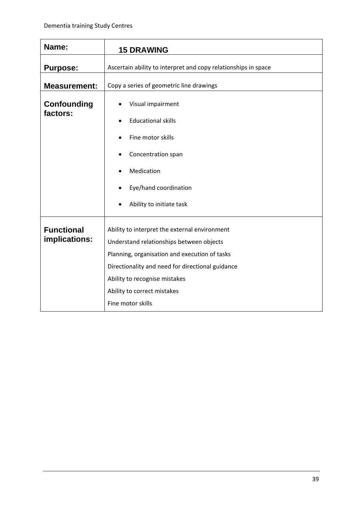<span id="page-41-0"></span>

| Name:                              | <b>15 DRAWING</b>                                                                                                                                                                                                                                                                   |  |
|------------------------------------|-------------------------------------------------------------------------------------------------------------------------------------------------------------------------------------------------------------------------------------------------------------------------------------|--|
| <b>Purpose:</b>                    | Ascertain ability to interpret and copy relationships in space                                                                                                                                                                                                                      |  |
| <b>Measurement:</b>                | Copy a series of geometric line drawings                                                                                                                                                                                                                                            |  |
| <b>Confounding</b><br>factors:     | Visual impairment<br><b>Educational skills</b><br>Fine motor skills<br>Concentration span<br>Medication<br>Eye/hand coordination                                                                                                                                                    |  |
|                                    | Ability to initiate task                                                                                                                                                                                                                                                            |  |
| <b>Functional</b><br>implications: | Ability to interpret the external environment<br>Understand relationships between objects<br>Planning, organisation and execution of tasks<br>Directionality and need for directional guidance<br>Ability to recognise mistakes<br>Ability to correct mistakes<br>Fine motor skills |  |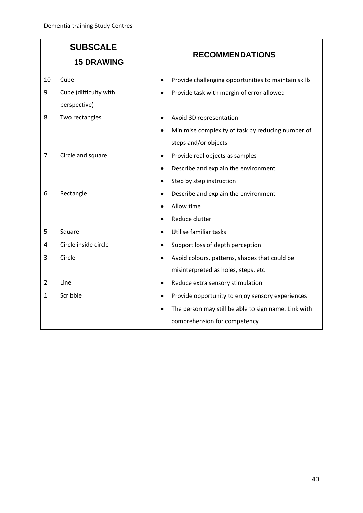|                | <b>SUBSCALE</b><br><b>15 DRAWING</b>  | <b>RECOMMENDATIONS</b>                                                                                                                                             |
|----------------|---------------------------------------|--------------------------------------------------------------------------------------------------------------------------------------------------------------------|
| 10             | Cube                                  | Provide challenging opportunities to maintain skills<br>$\bullet$                                                                                                  |
| 9              | Cube (difficulty with<br>perspective) | Provide task with margin of error allowed<br>$\bullet$                                                                                                             |
| 8              | Two rectangles                        | Avoid 3D representation<br>$\bullet$<br>Minimise complexity of task by reducing number of<br>steps and/or objects                                                  |
| $\overline{7}$ | Circle and square                     | Provide real objects as samples<br>$\bullet$<br>Describe and explain the environment<br>Step by step instruction                                                   |
| 6              | Rectangle                             | Describe and explain the environment<br>$\bullet$<br>Allow time<br>Reduce clutter                                                                                  |
| 5              | Square                                | Utilise familiar tasks<br>$\bullet$                                                                                                                                |
| 4              | Circle inside circle                  | Support loss of depth perception<br>$\bullet$                                                                                                                      |
| 3              | Circle                                | Avoid colours, patterns, shapes that could be<br>$\bullet$<br>misinterpreted as holes, steps, etc                                                                  |
| $\overline{2}$ | Line                                  | Reduce extra sensory stimulation<br>$\bullet$                                                                                                                      |
| $\mathbf{1}$   | Scribble                              | Provide opportunity to enjoy sensory experiences<br>$\bullet$<br>The person may still be able to sign name. Link with<br>$\bullet$<br>comprehension for competency |
|                |                                       |                                                                                                                                                                    |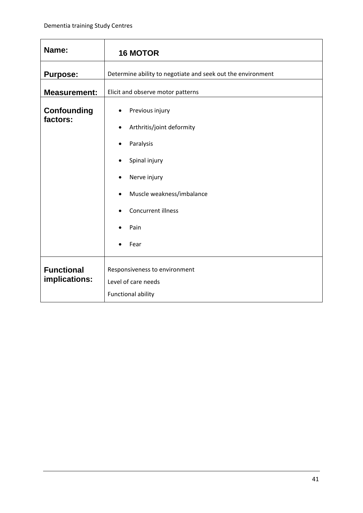<span id="page-43-0"></span>

| Name:                              | <b>16 MOTOR</b>                                             |  |  |  |
|------------------------------------|-------------------------------------------------------------|--|--|--|
| <b>Purpose:</b>                    | Determine ability to negotiate and seek out the environment |  |  |  |
| <b>Measurement:</b>                | Elicit and observe motor patterns                           |  |  |  |
| <b>Confounding</b><br>factors:     | Previous injury<br>Arthritis/joint deformity<br>$\bullet$   |  |  |  |
|                                    | Paralysis<br>٠                                              |  |  |  |
|                                    | Spinal injury<br>$\bullet$                                  |  |  |  |
|                                    | Nerve injury                                                |  |  |  |
|                                    | Muscle weakness/imbalance                                   |  |  |  |
|                                    | Concurrent illness                                          |  |  |  |
|                                    | Pain                                                        |  |  |  |
|                                    | Fear                                                        |  |  |  |
| <b>Functional</b><br>implications: | Responsiveness to environment<br>Level of care needs        |  |  |  |
|                                    | <b>Functional ability</b>                                   |  |  |  |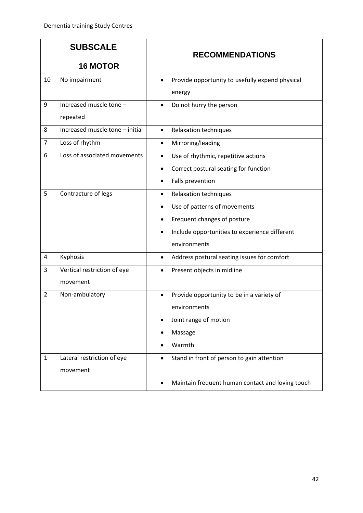| <b>SUBSCALE</b> |                                 | <b>RECOMMENDATIONS</b>                                       |  |
|-----------------|---------------------------------|--------------------------------------------------------------|--|
|                 | <b>16 MOTOR</b>                 |                                                              |  |
| 10              | No impairment                   | Provide opportunity to usefully expend physical<br>$\bullet$ |  |
|                 |                                 | energy                                                       |  |
| 9               | Increased muscle tone -         | Do not hurry the person<br>$\bullet$                         |  |
|                 | repeated                        |                                                              |  |
| 8               | Increased muscle tone - initial | Relaxation techniques<br>$\bullet$                           |  |
| $\overline{7}$  | Loss of rhythm                  | Mirroring/leading<br>٠                                       |  |
| 6               | Loss of associated movements    | Use of rhythmic, repetitive actions<br>٠                     |  |
|                 |                                 | Correct postural seating for function                        |  |
|                 |                                 | Falls prevention                                             |  |
| 5               | Contracture of legs             | Relaxation techniques                                        |  |
|                 |                                 | Use of patterns of movements                                 |  |
|                 |                                 | Frequent changes of posture                                  |  |
|                 |                                 | Include opportunities to experience different                |  |
|                 |                                 | environments                                                 |  |
| $\overline{a}$  | Kyphosis                        | Address postural seating issues for comfort<br>٠             |  |
| 3               | Vertical restriction of eye     | Present objects in midline                                   |  |
|                 | movement                        |                                                              |  |
| $\overline{2}$  | Non-ambulatory                  | Provide opportunity to be in a variety of<br>$\bullet$       |  |
|                 |                                 | environments                                                 |  |
|                 |                                 | Joint range of motion                                        |  |
|                 |                                 | Massage                                                      |  |
|                 |                                 | Warmth                                                       |  |
| $\mathbf{1}$    | Lateral restriction of eye      | Stand in front of person to gain attention<br>$\bullet$      |  |
|                 | movement                        |                                                              |  |
|                 |                                 | Maintain frequent human contact and loving touch             |  |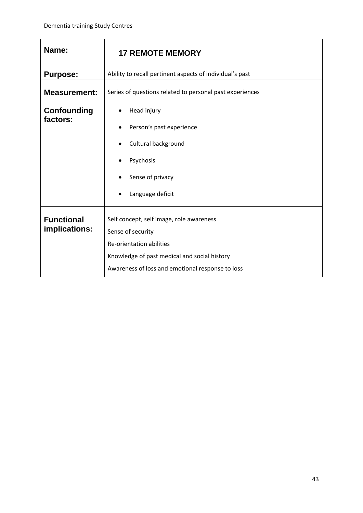<span id="page-45-0"></span>

| Name:                              | <b>17 REMOTE MEMORY</b>                                                                                                                                                                       |  |  |
|------------------------------------|-----------------------------------------------------------------------------------------------------------------------------------------------------------------------------------------------|--|--|
| <b>Purpose:</b>                    | Ability to recall pertinent aspects of individual's past                                                                                                                                      |  |  |
| <b>Measurement:</b>                | Series of questions related to personal past experiences                                                                                                                                      |  |  |
| Confounding<br>factors:            | Head injury<br>Person's past experience<br>Cultural background<br>٠<br>Psychosis<br>Sense of privacy<br>Language deficit                                                                      |  |  |
| <b>Functional</b><br>implications: | Self concept, self image, role awareness<br>Sense of security<br>Re-orientation abilities<br>Knowledge of past medical and social history<br>Awareness of loss and emotional response to loss |  |  |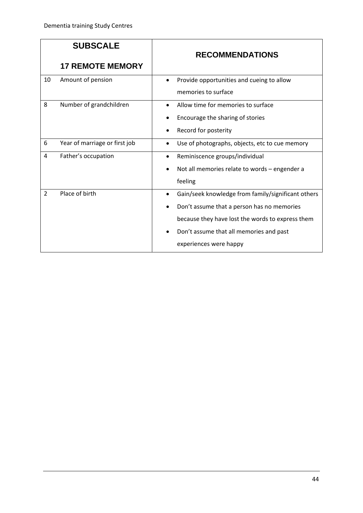|                | <b>SUBSCALE</b>               | <b>RECOMMENDATIONS</b> |                                                    |
|----------------|-------------------------------|------------------------|----------------------------------------------------|
|                | <b>17 REMOTE MEMORY</b>       |                        |                                                    |
| 10             | Amount of pension             |                        | Provide opportunities and cueing to allow          |
|                |                               |                        | memories to surface                                |
| 8              | Number of grandchildren       |                        | Allow time for memories to surface                 |
|                |                               |                        | Encourage the sharing of stories                   |
|                |                               |                        | Record for posterity                               |
| 6              | Year of marriage or first job |                        | Use of photographs, objects, etc to cue memory     |
| 4              | Father's occupation           |                        | Reminiscence groups/individual                     |
|                |                               |                        | Not all memories relate to words - engender a      |
|                |                               |                        | feeling                                            |
| $\overline{2}$ | Place of birth                |                        | Gain/seek knowledge from family/significant others |
|                |                               |                        | Don't assume that a person has no memories         |
|                |                               |                        | because they have lost the words to express them   |
|                |                               |                        | Don't assume that all memories and past            |
|                |                               |                        | experiences were happy                             |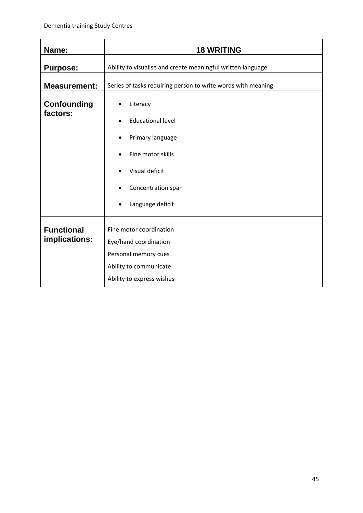<span id="page-47-0"></span>

| Name:                          | <b>18 WRITING</b>                                            |  |  |  |
|--------------------------------|--------------------------------------------------------------|--|--|--|
| <b>Purpose:</b>                | Ability to visualise and create meaningful written language  |  |  |  |
| <b>Measurement:</b>            | Series of tasks requiring person to write words with meaning |  |  |  |
| <b>Confounding</b><br>factors: | Literacy                                                     |  |  |  |
|                                | <b>Educational level</b>                                     |  |  |  |
|                                | Primary language                                             |  |  |  |
|                                | Fine motor skills                                            |  |  |  |
|                                | Visual deficit                                               |  |  |  |
|                                | Concentration span                                           |  |  |  |
|                                | Language deficit                                             |  |  |  |
| <b>Functional</b>              | Fine motor coordination                                      |  |  |  |
| implications:                  | Eye/hand coordination                                        |  |  |  |
|                                | Personal memory cues                                         |  |  |  |
|                                | Ability to communicate                                       |  |  |  |
|                                | Ability to express wishes                                    |  |  |  |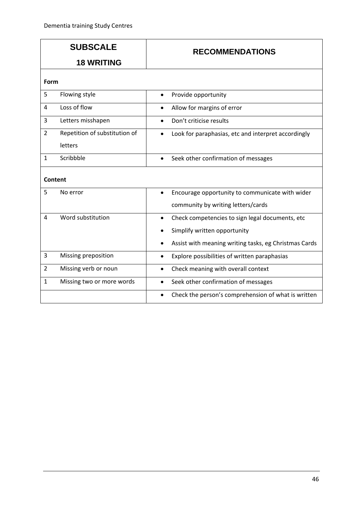| <b>SUBSCALE</b><br><b>18 WRITING</b> |                               | <b>RECOMMENDATIONS</b>                                           |  |
|--------------------------------------|-------------------------------|------------------------------------------------------------------|--|
|                                      |                               |                                                                  |  |
| Form                                 |                               |                                                                  |  |
| 5                                    | Flowing style                 | Provide opportunity<br>$\bullet$                                 |  |
| $\overline{4}$                       | Loss of flow                  | Allow for margins of error<br>$\bullet$                          |  |
| 3                                    | Letters misshapen             | Don't criticise results                                          |  |
| $\overline{2}$                       | Repetition of substitution of | Look for paraphasias, etc and interpret accordingly<br>$\bullet$ |  |
|                                      | letters                       |                                                                  |  |
| $\mathbf{1}$                         | Scribbble                     | Seek other confirmation of messages<br>$\bullet$                 |  |
|                                      | Content                       |                                                                  |  |
| 5                                    | No error                      | Encourage opportunity to communicate with wider<br>$\bullet$     |  |
|                                      |                               | community by writing letters/cards                               |  |
| $\overline{4}$                       | Word substitution             | Check competencies to sign legal documents, etc<br>$\bullet$     |  |
|                                      |                               | Simplify written opportunity                                     |  |
|                                      |                               | Assist with meaning writing tasks, eg Christmas Cards            |  |
| 3                                    | Missing preposition           | Explore possibilities of written paraphasias<br>$\bullet$        |  |
| $\overline{2}$                       | Missing verb or noun          | Check meaning with overall context<br>$\bullet$                  |  |
| $\mathbf{1}$                         | Missing two or more words     | Seek other confirmation of messages<br>$\bullet$                 |  |
|                                      |                               | Check the person's comprehension of what is written<br>$\bullet$ |  |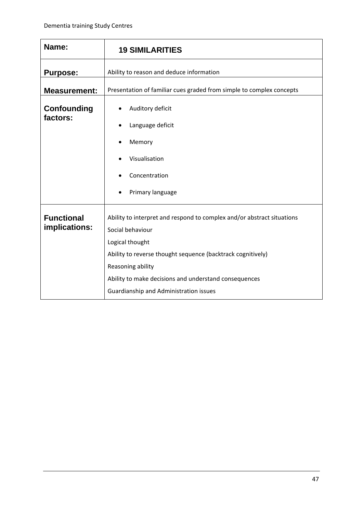<span id="page-49-0"></span>

| Name:                          | <b>19 SIMILARITIES</b>                                                                                                                                                                                                     |  |
|--------------------------------|----------------------------------------------------------------------------------------------------------------------------------------------------------------------------------------------------------------------------|--|
| <b>Purpose:</b>                | Ability to reason and deduce information                                                                                                                                                                                   |  |
| <b>Measurement:</b>            | Presentation of familiar cues graded from simple to complex concepts                                                                                                                                                       |  |
| <b>Confounding</b><br>factors: | Auditory deficit<br>Language deficit<br>Memory<br>Visualisation<br>Concentration                                                                                                                                           |  |
| <b>Functional</b>              | Primary language<br>Ability to interpret and respond to complex and/or abstract situations                                                                                                                                 |  |
| implications:                  | Social behaviour<br>Logical thought<br>Ability to reverse thought sequence (backtrack cognitively)<br>Reasoning ability<br>Ability to make decisions and understand consequences<br>Guardianship and Administration issues |  |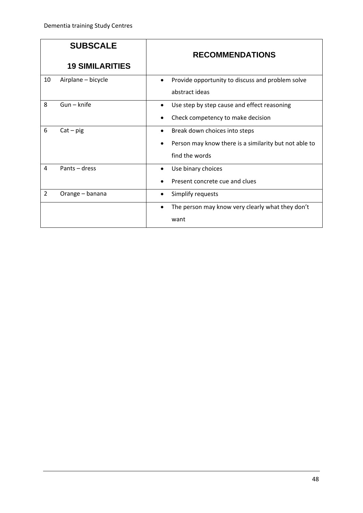|                | <b>SUBSCALE</b>        | <b>RECOMMENDATIONS</b>                                                                                   |
|----------------|------------------------|----------------------------------------------------------------------------------------------------------|
|                | <b>19 SIMILARITIES</b> |                                                                                                          |
| 10             | Airplane - bicycle     | Provide opportunity to discuss and problem solve<br>abstract ideas                                       |
| 8              | $Gun - knife$          | Use step by step cause and effect reasoning<br>Check competency to make decision                         |
| 6              | $Cat - pig$            | Break down choices into steps<br>Person may know there is a similarity but not able to<br>find the words |
| 4              | Pants - dress          | Use binary choices<br>Present concrete cue and clues                                                     |
| $\overline{2}$ | Orange - banana        | Simplify requests                                                                                        |
|                |                        | The person may know very clearly what they don't<br>$\bullet$<br>want                                    |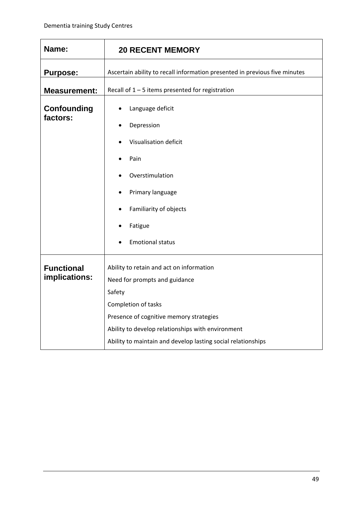<span id="page-51-0"></span>

| Name:                              | <b>20 RECENT MEMORY</b>                                                    |  |  |
|------------------------------------|----------------------------------------------------------------------------|--|--|
| <b>Purpose:</b>                    | Ascertain ability to recall information presented in previous five minutes |  |  |
| <b>Measurement:</b>                | Recall of $1 - 5$ items presented for registration                         |  |  |
| <b>Confounding</b><br>factors:     | Language deficit<br>Depression<br>$\bullet$<br>Visualisation deficit       |  |  |
|                                    | Pain                                                                       |  |  |
|                                    | Overstimulation<br>Primary language                                        |  |  |
|                                    | Familiarity of objects                                                     |  |  |
|                                    | Fatigue                                                                    |  |  |
|                                    | <b>Emotional status</b>                                                    |  |  |
| <b>Functional</b><br>implications: | Ability to retain and act on information<br>Need for prompts and guidance  |  |  |
|                                    | Safety                                                                     |  |  |
|                                    | Completion of tasks<br>Presence of cognitive memory strategies             |  |  |
|                                    | Ability to develop relationships with environment                          |  |  |
|                                    | Ability to maintain and develop lasting social relationships               |  |  |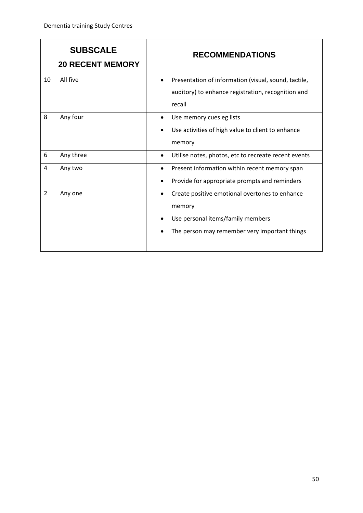|                | <b>SUBSCALE</b><br><b>20 RECENT MEMORY</b> |           | <b>RECOMMENDATIONS</b>                               |
|----------------|--------------------------------------------|-----------|------------------------------------------------------|
| 10             | All five                                   | ٠         | Presentation of information (visual, sound, tactile, |
|                |                                            |           | auditory) to enhance registration, recognition and   |
|                |                                            |           | recall                                               |
| 8              | Any four                                   | ٠         | Use memory cues eg lists                             |
|                |                                            |           | Use activities of high value to client to enhance    |
|                |                                            |           | memory                                               |
| 6              | Any three                                  | $\bullet$ | Utilise notes, photos, etc to recreate recent events |
| 4              | Any two                                    | $\bullet$ | Present information within recent memory span        |
|                |                                            |           | Provide for appropriate prompts and reminders        |
| $\overline{2}$ | Any one                                    | $\bullet$ | Create positive emotional overtones to enhance       |
|                |                                            |           | memory                                               |
|                |                                            |           | Use personal items/family members                    |
|                |                                            |           | The person may remember very important things        |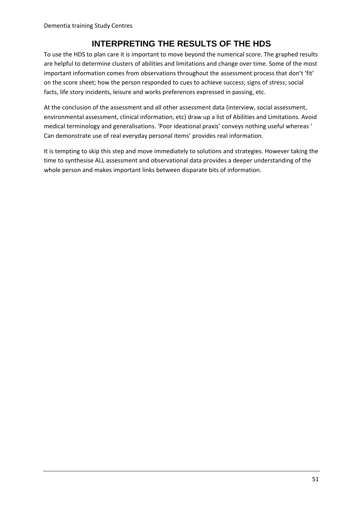## **INTERPRETING THE RESULTS OF THE HDS**

<span id="page-53-0"></span>To use the HDS to plan care it is important to move beyond the numerical score. The graphed results are helpful to determine clusters of abilities and limitations and change over time. Some of the most important information comes from observations throughout the assessment process that don't 'fit' on the score sheet; how the person responded to cues to achieve success; signs of stress; social facts, life story incidents, leisure and works preferences expressed in passing, etc.

At the conclusion of the assessment and all other assessment data (interview, social assessment, environmental assessment, clinical information, etc) draw up a list of Abilities and Limitations. Avoid medical terminology and generalisations. 'Poor ideational praxis' conveys nothing useful whereas ' Can demonstrate use of real everyday personal items' provides real information.

It is tempting to skip this step and move immediately to solutions and strategies. However taking the time to synthesise ALL assessment and observational data provides a deeper understanding of the whole person and makes important links between disparate bits of information.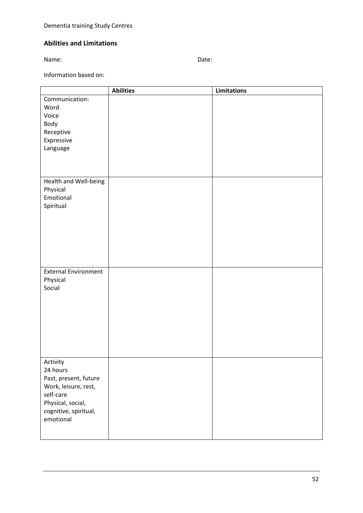#### **Abilities and Limitations**

Name: **Name:** Date: **Date: Date: Date: Date: Date: Date: Date: Date: Date: Date: Date: Date: Date: Date: Date: Date: Date: Date: Date: Date: Date: Date: Date: Date: Date: D** 

Information based on:

|                             | <b>Abilities</b> | <b>Limitations</b> |
|-----------------------------|------------------|--------------------|
| Communication:              |                  |                    |
| Word                        |                  |                    |
| Voice                       |                  |                    |
| Body                        |                  |                    |
| Receptive                   |                  |                    |
| Expressive                  |                  |                    |
| Language                    |                  |                    |
|                             |                  |                    |
|                             |                  |                    |
|                             |                  |                    |
| Health and Well-being       |                  |                    |
| Physical                    |                  |                    |
| Emotional                   |                  |                    |
| Spiritual                   |                  |                    |
|                             |                  |                    |
|                             |                  |                    |
|                             |                  |                    |
|                             |                  |                    |
|                             |                  |                    |
|                             |                  |                    |
|                             |                  |                    |
| <b>External Environment</b> |                  |                    |
| Physical<br>Social          |                  |                    |
|                             |                  |                    |
|                             |                  |                    |
|                             |                  |                    |
|                             |                  |                    |
|                             |                  |                    |
|                             |                  |                    |
|                             |                  |                    |
|                             |                  |                    |
| Activity                    |                  |                    |
| 24 hours                    |                  |                    |
| Past, present, future       |                  |                    |
| Work, leisure, rest,        |                  |                    |
| self-care                   |                  |                    |
| Physical, social,           |                  |                    |
| cognitive, spiritual,       |                  |                    |
| emotional                   |                  |                    |
|                             |                  |                    |
|                             |                  |                    |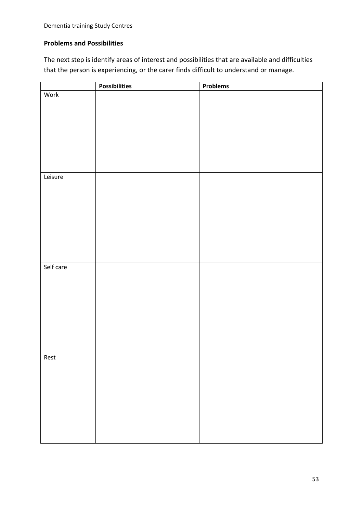#### **Problems and Possibilities**

The next step is identify areas of interest and possibilities that are available and difficulties that the person is experiencing, or the carer finds difficult to understand or manage.

|           | <b>Possibilities</b> | Problems |
|-----------|----------------------|----------|
| Work      |                      |          |
|           |                      |          |
|           |                      |          |
|           |                      |          |
|           |                      |          |
|           |                      |          |
|           |                      |          |
|           |                      |          |
|           |                      |          |
|           |                      |          |
| Leisure   |                      |          |
|           |                      |          |
|           |                      |          |
|           |                      |          |
|           |                      |          |
|           |                      |          |
|           |                      |          |
|           |                      |          |
|           |                      |          |
|           |                      |          |
|           |                      |          |
| Self care |                      |          |
|           |                      |          |
|           |                      |          |
|           |                      |          |
|           |                      |          |
|           |                      |          |
|           |                      |          |
|           |                      |          |
|           |                      |          |
|           |                      |          |
| Rest      |                      |          |
|           |                      |          |
|           |                      |          |
|           |                      |          |
|           |                      |          |
|           |                      |          |
|           |                      |          |
|           |                      |          |
|           |                      |          |
|           |                      |          |
|           |                      |          |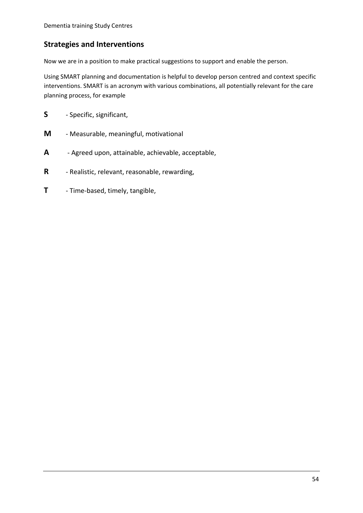#### **Strategies and Interventions**

Now we are in a position to make practical suggestions to support and enable the person.

Using SMART planning and documentation is helpful to develop person centred and context specific interventions. SMART is an acronym with various combinations, all potentially relevant for the care planning process, for example

- **S** Specific, significant,
- **M** Measurable, meaningful, motivational
- **A** Agreed upon, attainable, achievable, acceptable,
- **R** Realistic, relevant, reasonable, rewarding,
- **T** Time-based, timely, tangible,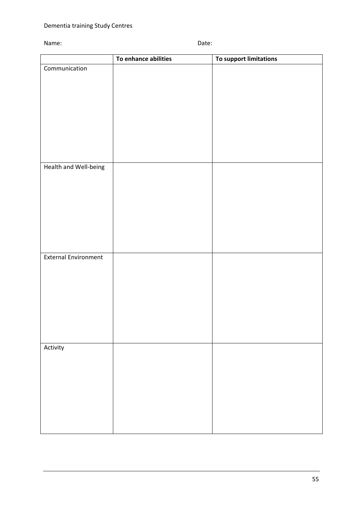#### Name: Date:

|                             | To enhance abilities | To support limitations |
|-----------------------------|----------------------|------------------------|
| Communication               |                      |                        |
|                             |                      |                        |
|                             |                      |                        |
|                             |                      |                        |
|                             |                      |                        |
|                             |                      |                        |
|                             |                      |                        |
|                             |                      |                        |
|                             |                      |                        |
| Health and Well-being       |                      |                        |
|                             |                      |                        |
|                             |                      |                        |
|                             |                      |                        |
|                             |                      |                        |
|                             |                      |                        |
|                             |                      |                        |
|                             |                      |                        |
| <b>External Environment</b> |                      |                        |
|                             |                      |                        |
|                             |                      |                        |
|                             |                      |                        |
|                             |                      |                        |
|                             |                      |                        |
|                             |                      |                        |
|                             |                      |                        |
|                             |                      |                        |
| Activity                    |                      |                        |
|                             |                      |                        |
|                             |                      |                        |
|                             |                      |                        |
|                             |                      |                        |
|                             |                      |                        |
|                             |                      |                        |
|                             |                      |                        |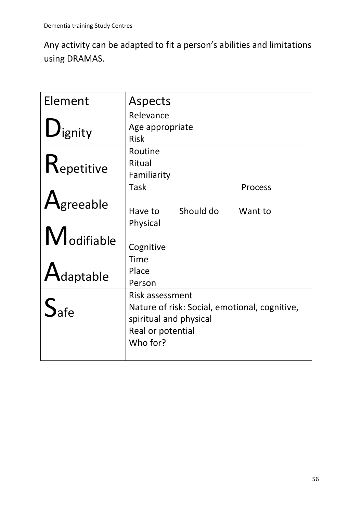Any activity can be adapted to fit a person's abilities and limitations using DRAMAS.

| Element                        | Aspects                                       |  |  |
|--------------------------------|-----------------------------------------------|--|--|
|                                | Relevance                                     |  |  |
| $\mathbf{U}_{\mathsf{ignity}}$ | Age appropriate                               |  |  |
|                                | <b>Risk</b>                                   |  |  |
|                                | Routine                                       |  |  |
| Repetitive                     | Ritual                                        |  |  |
|                                | Familiarity                                   |  |  |
|                                | Task<br>Process                               |  |  |
| $\bigtriangleup$ greeable      | Should do<br>Have to<br>Want to               |  |  |
|                                | Physical                                      |  |  |
| Modifiable                     | Cognitive                                     |  |  |
|                                | Time                                          |  |  |
| $\bigwedge$ daptable           | Place                                         |  |  |
|                                | Person                                        |  |  |
| $S_{\text{afe}}$               | Risk assessment                               |  |  |
|                                | Nature of risk: Social, emotional, cognitive, |  |  |
|                                | spiritual and physical                        |  |  |
|                                | Real or potential                             |  |  |
|                                | Who for?                                      |  |  |
|                                |                                               |  |  |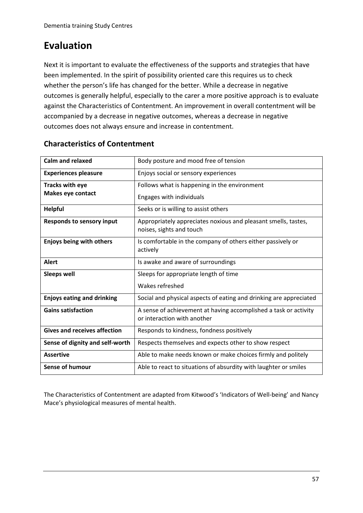## **Evaluation**

Next it is important to evaluate the effectiveness of the supports and strategies that have been implemented. In the spirit of possibility oriented care this requires us to check whether the person's life has changed for the better. While a decrease in negative outcomes is generally helpful, especially to the carer a more positive approach is to evaluate against the Characteristics of Contentment. An improvement in overall contentment will be accompanied by a decrease in negative outcomes, whereas a decrease in negative outcomes does not always ensure and increase in contentment.

| Calm and relaxed                    | Body posture and mood free of tension                                                           |  |
|-------------------------------------|-------------------------------------------------------------------------------------------------|--|
| <b>Experiences pleasure</b>         | Enjoys social or sensory experiences                                                            |  |
| <b>Tracks with eye</b>              | Follows what is happening in the environment                                                    |  |
| <b>Makes eye contact</b>            | Engages with individuals                                                                        |  |
| <b>Helpful</b>                      | Seeks or is willing to assist others                                                            |  |
| <b>Responds to sensory input</b>    | Appropriately appreciates noxious and pleasant smells, tastes,<br>noises, sights and touch      |  |
| <b>Enjoys being with others</b>     | Is comfortable in the company of others either passively or<br>actively                         |  |
| <b>Alert</b>                        | Is awake and aware of surroundings                                                              |  |
| <b>Sleeps well</b>                  | Sleeps for appropriate length of time                                                           |  |
|                                     | Wakes refreshed                                                                                 |  |
| <b>Enjoys eating and drinking</b>   | Social and physical aspects of eating and drinking are appreciated                              |  |
| <b>Gains satisfaction</b>           | A sense of achievement at having accomplished a task or activity<br>or interaction with another |  |
| <b>Gives and receives affection</b> | Responds to kindness, fondness positively                                                       |  |
| Sense of dignity and self-worth     | Respects themselves and expects other to show respect                                           |  |
| <b>Assertive</b>                    | Able to make needs known or make choices firmly and politely                                    |  |
| <b>Sense of humour</b>              | Able to react to situations of absurdity with laughter or smiles                                |  |

#### **Characteristics of Contentment**

The Characteristics of Contentment are adapted from Kitwood's 'Indicators of Well-being' and Nancy Mace's physiological measures of mental health.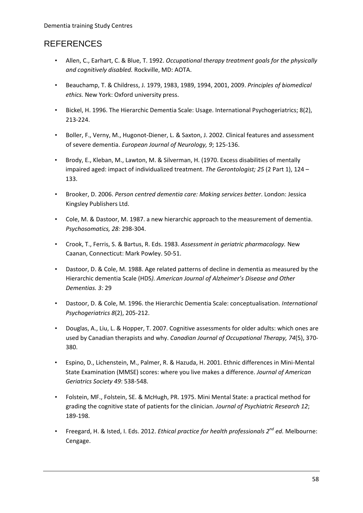## **REFERENCES**

- Allen, C., Earhart, C. & Blue, T. 1992. *Occupational therapy treatment goals for the physically and cognitively disabled.* Rockville, MD: AOTA.
- Beauchamp, T. & Childress, J. 1979, 1983, 1989, 1994, 2001, 2009. *Principles of biomedical ethics.* New York: Oxford university press.
- Bickel, H. 1996. The Hierarchic Dementia Scale: Usage. International Psychogeriatrics; 8(2), 213-224.
- Boller, F., Verny, M., Hugonot-Diener, L. & Saxton, J. 2002. Clinical features and assessment of severe dementia. *European Journal of Neurology, 9*; 125-136.
- Brody, E., Kleban, M., Lawton, M. & Silverman, H. (1970. Excess disabilities of mentally impaired aged: impact of individualized treatment. *The Gerontologist; 25* (2 Part 1), 124 – 133.
- Brooker, D. 2006. *Person centred dementia care: Making services better*. London: Jessica Kingsley Publishers Ltd.
- Cole, M. & Dastoor, M. 1987. a new hierarchic approach to the measurement of dementia. *Psychosomatics, 28:* 298-304.
- Crook, T., Ferris, S. & Bartus, R. Eds. 1983. *Assessment in geriatric pharmacology.* New Caanan, Connecticut: Mark Powley. 50-51.
- Dastoor, D. & Cole, M. 1988. Age related patterns of decline in dementia as measured by the Hierarchic dementia Scale (HDS*). American Journal of Alzheimer's Disease and Other Dementias. 3:* 29
- Dastoor, D. & Cole, M. 1996. the Hierarchic Dementia Scale: conceptualisation. *International Psychogeriatrics 8*(2), 205-212.
- Douglas, A., Liu, L. & Hopper, T. 2007. Cognitive assessments for older adults: which ones are used by Canadian therapists and why. *Canadian Journal of Occupational Therapy, 74*(5), 370- 380.
- Espino, D., Lichenstein, M., Palmer, R. & Hazuda, H. 2001. Ethnic differences in Mini-Mental State Examination (MMSE) scores: where you live makes a difference. *Journal of American Geriatrics Society 49*: 538-548.
- Folstein, MF., Folstein, SE. & McHugh, PR. 1975. Mini Mental State: a practical method for grading the cognitive state of patients for the clinician. *Journal of Psychiatric Research 12*; 189-198.
- Freegard, H. & Isted, I. Eds. 2012. *Ethical practice for health professionals 2nd ed.* Melbourne: Cengage.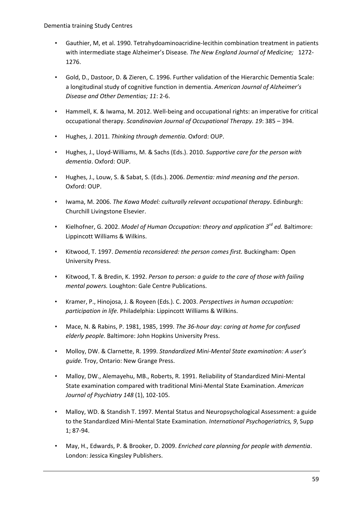Dementia training Study Centres

- Gauthier, M, et al. 1990. Tetrahydoaminoacridine-lecithin combination treatment in patients with intermediate stage Alzheimer's Disease*. The New England Journal of Medicine;* 1272- 1276.
- Gold, D., Dastoor, D. & Zieren, C. 1996. Further validation of the Hierarchic Dementia Scale: a longitudinal study of cognitive function in dementia. *American Journal of Alzheimer's Disease and Other Dementias; 11*: 2-6.
- Hammell, K. & Iwama, M. 2012. Well-being and occupational rights: an imperative for critical occupational therapy. *Scandinavian Journal of Occupational Therapy. 19*: 385 – 394.
- Hughes, J. 2011. *Thinking through dementia*. Oxford: OUP.
- Hughes, J., Lloyd-Williams, M. & Sachs (Eds.). 2010. *Supportive care for the person with dementia*. Oxford: OUP.
- Hughes, J., Louw, S. & Sabat, S. (Eds.). 2006. *Dementia: mind meaning and the person*. Oxford: OUP.
- Iwama, M. 2006. *The Kawa Model: culturally relevant occupational therapy*. Edinburgh: Churchill Livingstone Elsevier.
- Kielhofner, G. 2002. *Model of Human Occupation: theory and application 3rd ed.* Baltimore: Lippincott Williams & Wilkins.
- Kitwood, T. 1997. *Dementia reconsidered: the person comes first.* Buckingham: Open University Press.
- Kitwood, T. & Bredin, K. 1992. *Person to person: a guide to the care of those with failing mental powers.* Loughton: Gale Centre Publications.
- Kramer, P., Hinojosa, J. & Royeen (Eds.). C. 2003. *Perspectives in human occupation: participation in life.* Philadelphia: Lippincott Williams & Wilkins.
- Mace, N. & Rabins, P. 1981, 1985, 1999. *The 36-hour day: caring at home for confused elderly people.* Baltimore: John Hopkins University Press.
- Molloy, DW. & Clarnette, R. 1999. *Standardized Mini-Mental State examination: A user's guide.* Troy, Ontario: New Grange Press.
- Malloy, DW., Alemayehu, MB., Roberts, R. 1991. Reliability of Standardized Mini-Mental State examination compared with traditional Mini-Mental State Examination. *American Journal of Psychiatry 148* (1), 102-105.
- Malloy, WD. & Standish T. 1997. Mental Status and Neuropsychological Assessment: a guide to the Standardized Mini-Mental State Examination. *International Psychogeriatrics, 9*, Supp 1; 87-94.
- May, H., Edwards, P. & Brooker, D. 2009. *Enriched care planning for people with dementia*. London: Jessica Kingsley Publishers.